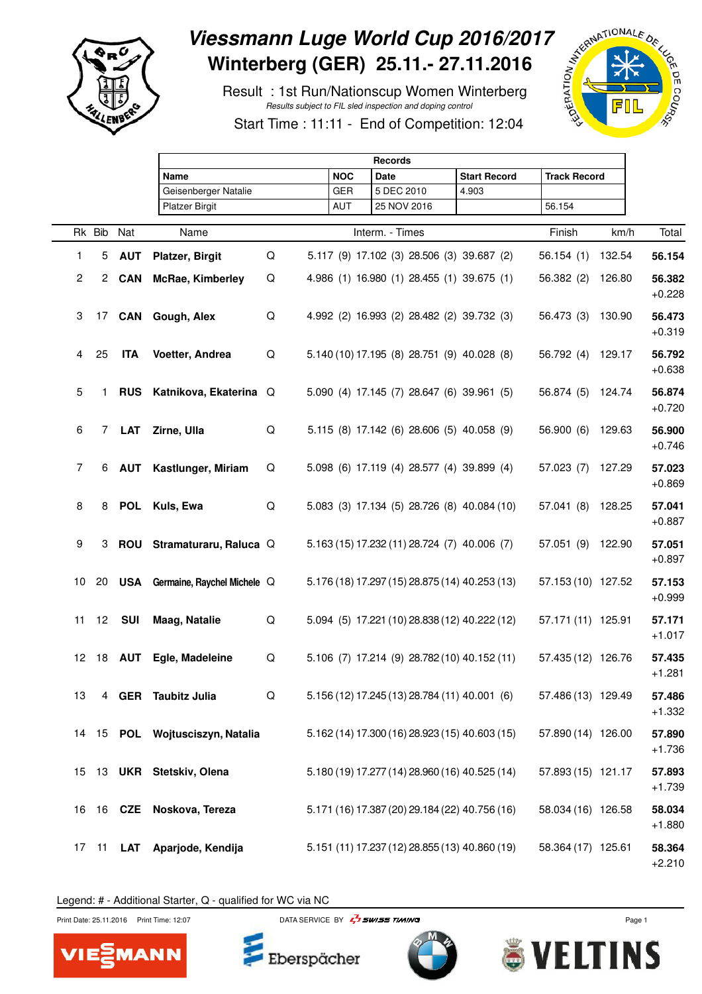

## Viessmann Luge World Cup 2016/2017<br>
Winterberg (GER) 25.11.- 27.11.2016<br>
Result : 1st Run/Nationscup Women Winterberg<br>
Start Time : 11:11 - End of Ocean Winter Line **Winterberg (GER) 25.11.- 27.11.2016**

 Result : 1st Run/Nationscup Women Winterberg Results subject to FIL sled inspection and doping control



Start Time : 11:11 - End of Competition: 12:04

|                 |    |               | <b>Records</b>                  |   |            |                                                |                     |                     |        |                    |  |  |
|-----------------|----|---------------|---------------------------------|---|------------|------------------------------------------------|---------------------|---------------------|--------|--------------------|--|--|
|                 |    |               | Name                            |   | <b>NOC</b> | Date                                           | <b>Start Record</b> | <b>Track Record</b> |        |                    |  |  |
|                 |    |               | Geisenberger Natalie            |   | GER        | 5 DEC 2010                                     | 4.903               |                     |        |                    |  |  |
|                 |    |               | <b>Platzer Birgit</b>           |   | AUT        | 25 NOV 2016                                    |                     | 56.154              |        |                    |  |  |
|                 |    | Rk Bib Nat    | Name                            |   |            | Interm. - Times                                |                     | Finish              | km/h   | Total              |  |  |
| $\mathbf{1}$    | 5  | <b>AUT</b>    | <b>Platzer, Birgit</b>          | Q |            | 5.117 (9) 17.102 (3) 28.506 (3) 39.687 (2)     |                     | 56.154(1)           | 132.54 | 56.154             |  |  |
| $\overline{2}$  |    | 2 CAN         | <b>McRae, Kimberley</b>         | Q |            | 4.986 (1) 16.980 (1) 28.455 (1) 39.675 (1)     |                     | 56.382(2)           | 126.80 | 56.382<br>$+0.228$ |  |  |
| 3               |    | 17 <b>CAN</b> | Gough, Alex                     | Q |            | 4.992 (2) 16.993 (2) 28.482 (2) 39.732 (3)     |                     | 56.473 (3)          | 130.90 | 56.473<br>$+0.319$ |  |  |
| 4               | 25 | <b>ITA</b>    | Voetter, Andrea                 | Q |            | 5.140 (10) 17.195 (8) 28.751 (9) 40.028 (8)    |                     | 56.792 (4) 129.17   |        | 56.792<br>$+0.638$ |  |  |
| 5               | 1. |               | RUS Katnikova, Ekaterina Q      |   |            | 5.090 (4) 17.145 (7) 28.647 (6) 39.961 (5)     |                     | 56.874 (5)          | 124.74 | 56.874<br>$+0.720$ |  |  |
| 6               |    | 7 LAT         | Zirne, Ulla                     | Q |            | 5.115 (8) 17.142 (6) 28.606 (5) 40.058 (9)     |                     | 56.900 (6)          | 129.63 | 56.900<br>$+0.746$ |  |  |
| $\overline{7}$  | 6  | AUT           | Kastlunger, Miriam              | Q |            | 5.098 (6) 17.119 (4) 28.577 (4) 39.899 (4)     |                     | 57.023(7)           | 127.29 | 57.023<br>$+0.869$ |  |  |
| 8               |    |               | 8 POL Kuls, Ewa                 | Q |            | 5.083 (3) 17.134 (5) 28.726 (8) 40.084 (10)    |                     | 57.041(8)           | 128.25 | 57.041<br>$+0.887$ |  |  |
| 9               |    |               | 3 ROU Stramaturaru, Raluca Q    |   |            | 5.163 (15) 17.232 (11) 28.724 (7) 40.006 (7)   |                     | 57.051 (9) 122.90   |        | 57.051<br>$+0.897$ |  |  |
| 10              | 20 |               | USA Germaine, Raychel Michele Q |   |            | 5.176 (18) 17.297 (15) 28.875 (14) 40.253 (13) |                     | 57.153 (10) 127.52  |        | 57.153<br>$+0.999$ |  |  |
| 11              | 12 | <b>SUI</b>    | Maag, Natalie                   | Q |            | 5.094 (5) 17.221 (10) 28.838 (12) 40.222 (12)  |                     | 57.171 (11) 125.91  |        | 57.171<br>$+1.017$ |  |  |
| 12 <sub>2</sub> |    |               | 18 AUT Egle, Madeleine          | Q |            | 5.106 (7) 17.214 (9) 28.782 (10) 40.152 (11)   |                     | 57.435 (12) 126.76  |        | 57.435<br>$+1.281$ |  |  |
| 13              |    |               | 4 GER Taubitz Julia             | Q |            | 5.156 (12) 17.245 (13) 28.784 (11) 40.001 (6)  |                     | 57.486 (13) 129.49  |        | 57.486<br>$+1.332$ |  |  |
|                 |    |               | 14 15 POL Wojtusciszyn, Natalia |   |            | 5.162 (14) 17.300 (16) 28.923 (15) 40.603 (15) |                     | 57.890 (14) 126.00  |        | 57.890<br>$+1.736$ |  |  |
| 15              |    |               | 13 UKR Stetskiv, Olena          |   |            | 5.180 (19) 17.277 (14) 28.960 (16) 40.525 (14) |                     | 57.893 (15) 121.17  |        | 57.893<br>$+1.739$ |  |  |
| 16              |    |               | 16 CZE Noskova, Tereza          |   |            | 5.171 (16) 17.387 (20) 29.184 (22) 40.756 (16) |                     | 58.034 (16) 126.58  |        | 58.034<br>$+1.880$ |  |  |
| 17              | 11 | LAT           | Aparjode, Kendija               |   |            | 5.151 (11) 17.237 (12) 28.855 (13) 40.860 (19) |                     | 58.364 (17) 125.61  |        | 58.364<br>$+2.210$ |  |  |

Legend: # - Additional Starter, Q - qualified for WC via NC



Print Date: 25.11.2016 Print Time: 12:07 DATA SERVICE BY  $\overline{F}$  SWISS TIMING



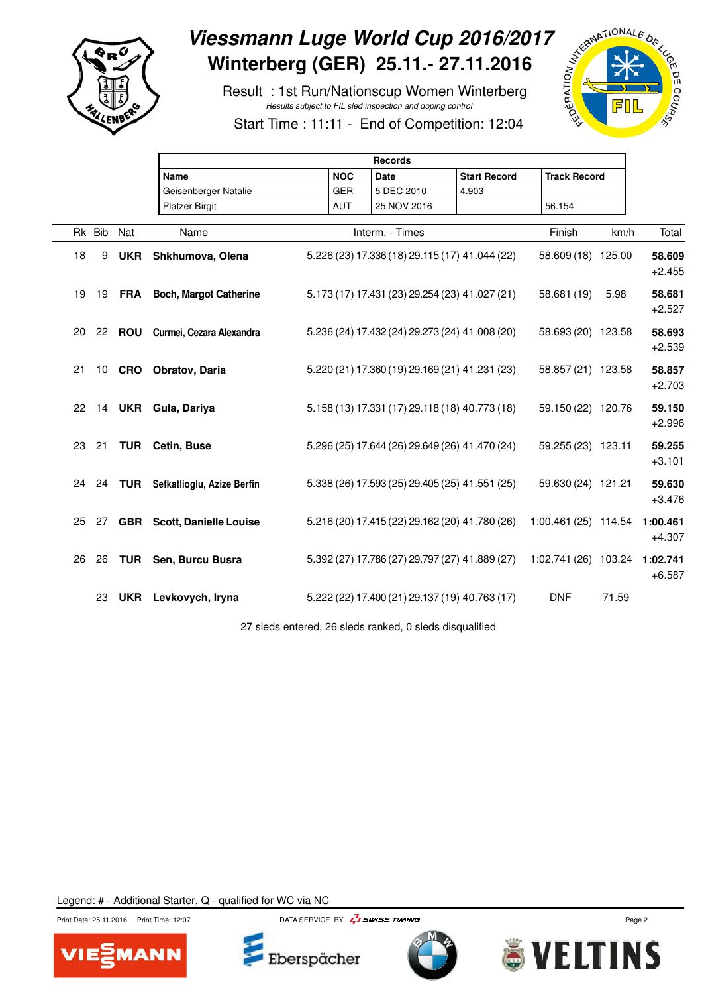

# Viessmann Luge World Cup 2016/2017<br>Winterberg (GER) 25.11.- 27.11.2016<br>Result : 1st Run/Nationscup Women Winterberg<br>Start Time **Winterberg (GER) 25.11.- 27.11.2016**

 Result : 1st Run/Nationscup Women Winterberg Results subject to FIL sled inspection and doping control



Start Time : 11:11 - End of Competition: 12:04

|    |            | <b>Records</b>                    |  |            |                                                |                     |                               |       |                      |  |  |
|----|------------|-----------------------------------|--|------------|------------------------------------------------|---------------------|-------------------------------|-------|----------------------|--|--|
|    |            | Name                              |  | <b>NOC</b> | <b>Date</b>                                    | <b>Start Record</b> | <b>Track Record</b>           |       |                      |  |  |
|    |            | Geisenberger Natalie              |  | <b>GER</b> | 5 DEC 2010                                     | 4.903               |                               |       |                      |  |  |
|    |            | <b>Platzer Birgit</b>             |  | <b>AUT</b> | 25 NOV 2016                                    |                     | 56.154                        |       |                      |  |  |
|    | Rk Bib Nat | Name                              |  |            | Interm. - Times                                |                     | Finish                        | km/h  | Total                |  |  |
| 18 | 9          | UKR Shkhumova, Olena              |  |            | 5.226 (23) 17.336 (18) 29.115 (17) 41.044 (22) |                     | 58.609 (18) 125.00            |       | 58.609<br>$+2.455$   |  |  |
| 19 |            | 19 FRA Boch, Margot Catherine     |  |            | 5.173 (17) 17.431 (23) 29.254 (23) 41.027 (21) |                     | 58.681 (19)                   | 5.98  | 58.681<br>$+2.527$   |  |  |
| 20 |            | 22 ROU Curmei, Cezara Alexandra   |  |            | 5.236 (24) 17.432 (24) 29.273 (24) 41.008 (20) |                     | 58.693 (20) 123.58            |       | 58.693<br>$+2.539$   |  |  |
| 21 |            | 10 CRO Obratov, Daria             |  |            | 5.220 (21) 17.360 (19) 29.169 (21) 41.231 (23) |                     | 58.857 (21) 123.58            |       | 58.857<br>$+2.703$   |  |  |
| 22 |            | 14 UKR Gula, Dariya               |  |            | 5.158 (13) 17.331 (17) 29.118 (18) 40.773 (18) |                     | 59.150 (22) 120.76            |       | 59.150<br>$+2.996$   |  |  |
| 23 | 21         | <b>TUR</b> Cetin, Buse            |  |            | 5.296 (25) 17.644 (26) 29.649 (26) 41.470 (24) |                     | 59.255 (23) 123.11            |       | 59.255<br>$+3.101$   |  |  |
| 24 |            | 24 TUR Sefkatlioglu, Azize Berfin |  |            | 5.338 (26) 17.593 (25) 29.405 (25) 41.551 (25) |                     | 59.630 (24) 121.21            |       | 59.630<br>$+3.476$   |  |  |
|    |            | 25 27 GBR Scott, Danielle Louise  |  |            | 5.216 (20) 17.415 (22) 29.162 (20) 41.780 (26) |                     | 1:00.461 (25) 114.54          |       | 1:00.461<br>$+4.307$ |  |  |
| 26 | 26         | <b>TUR</b> Sen, Burcu Busra       |  |            | 5.392 (27) 17.786 (27) 29.797 (27) 41.889 (27) |                     | 1:02.741 (26) 103.24 1:02.741 |       | $+6.587$             |  |  |
|    | 23         | UKR Levkovych, Iryna              |  |            | 5.222 (22) 17.400 (21) 29.137 (19) 40.763 (17) |                     | <b>DNF</b>                    | 71.59 |                      |  |  |
|    |            |                                   |  |            |                                                |                     |                               |       |                      |  |  |

27 sleds entered, 26 sleds ranked, 0 sleds disqualified







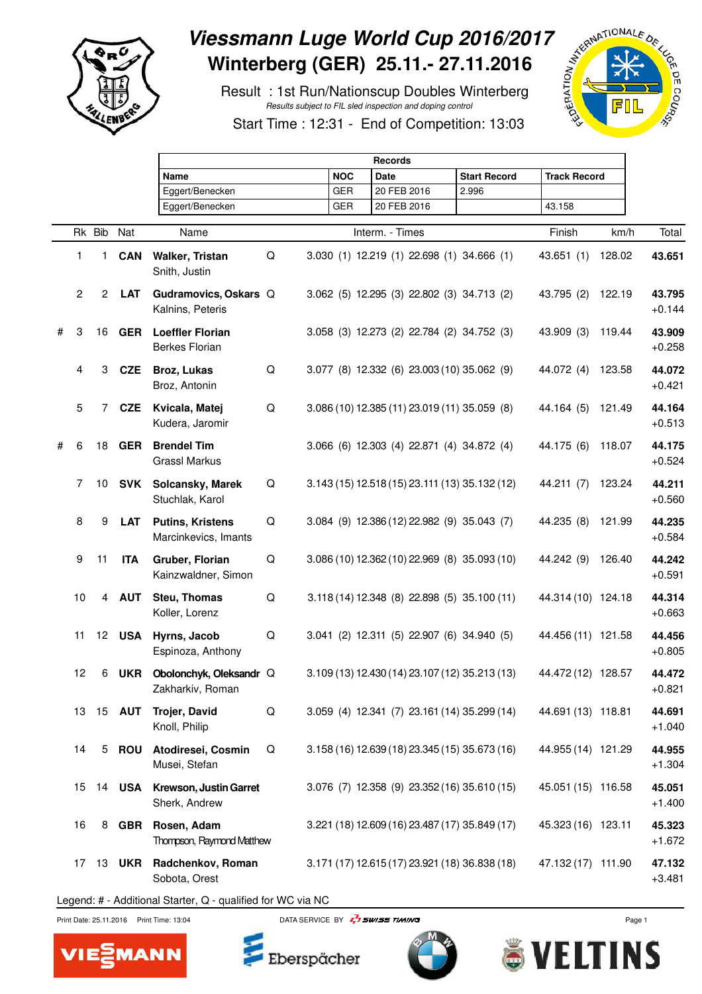

## Viessmann Luge World Cup 2016/2017<br>
Winterberg (GER) 25.11.- 27.11.2016<br>
Result : 1st Run/Nationscup Doubles Winterberg<br>
Start Time : 12:31 - End of October 2007 **Winterberg (GER) 25.11.- 27.11.2016**

 Result : 1st Run/Nationscup Doubles Winterberg Results subject to FIL sled inspection and doping control



Start Time : 12:31 - End of Competition: 13:03

|   |                |        |               | <b>Records</b>                                   |   |            |                                                |                     |                     |        |                    |  |  |
|---|----------------|--------|---------------|--------------------------------------------------|---|------------|------------------------------------------------|---------------------|---------------------|--------|--------------------|--|--|
|   |                |        |               | <b>Name</b>                                      |   | <b>NOC</b> | <b>Date</b>                                    | <b>Start Record</b> | <b>Track Record</b> |        |                    |  |  |
|   |                |        |               | Eggert/Benecken                                  |   | <b>GER</b> | 20 FEB 2016                                    | 2.996               |                     |        |                    |  |  |
|   |                |        |               | Eggert/Benecken                                  |   | <b>GER</b> | 20 FEB 2016                                    |                     | 43.158              |        |                    |  |  |
|   |                |        |               |                                                  |   |            |                                                |                     |                     |        |                    |  |  |
|   |                | Rk Bib | Nat           | Name                                             |   |            | Interm. - Times                                |                     | Finish              | km/h   | Total              |  |  |
|   | 1              | 1.     | <b>CAN</b>    | Walker, Tristan<br>Snith, Justin                 | Q |            | 3.030 (1) 12.219 (1) 22.698 (1) 34.666 (1)     |                     | 43.651(1)           | 128.02 | 43.651             |  |  |
|   | $\overline{2}$ |        | 2 LAT         | Gudramovics, Oskars Q<br>Kalnins, Peteris        |   |            | 3.062 (5) 12.295 (3) 22.802 (3) 34.713 (2)     |                     | 43.795 (2)          | 122.19 | 43.795<br>$+0.144$ |  |  |
| # | 3              | 16     | <b>GER</b>    | <b>Loeffler Florian</b><br><b>Berkes Florian</b> |   |            | 3.058 (3) 12.273 (2) 22.784 (2) 34.752 (3)     |                     | 43.909 (3)          | 119.44 | 43.909<br>$+0.258$ |  |  |
|   | 4              | 3      | <b>CZE</b>    | Broz, Lukas<br>Broz, Antonin                     | Q |            | 3.077 (8) 12.332 (6) 23.003 (10) 35.062 (9)    |                     | 44.072 (4)          | 123.58 | 44.072<br>$+0.421$ |  |  |
|   | 5              | 7      | <b>CZE</b>    | Kvicala, Matej<br>Kudera, Jaromir                | Q |            | 3.086 (10) 12.385 (11) 23.019 (11) 35.059 (8)  |                     | 44.164 (5)          | 121.49 | 44.164<br>$+0.513$ |  |  |
| # | 6              | 18     | <b>GER</b>    | <b>Brendel Tim</b><br><b>Grassl Markus</b>       |   |            | 3.066 (6) 12.303 (4) 22.871 (4) 34.872 (4)     |                     | 44.175 (6)          | 118.07 | 44.175<br>$+0.524$ |  |  |
|   | 7              | 10     | SVK           | Solcansky, Marek<br>Stuchlak, Karol              | Q |            | 3.143 (15) 12.518 (15) 23.111 (13) 35.132 (12) |                     | 44.211 (7)          | 123.24 | 44.211<br>$+0.560$ |  |  |
|   | 8              | 9      | <b>LAT</b>    | <b>Putins, Kristens</b><br>Marcinkevics, Imants  | Q |            | 3.084 (9) 12.386 (12) 22.982 (9) 35.043 (7)    |                     | 44.235 (8)          | 121.99 | 44.235<br>$+0.584$ |  |  |
|   | 9              | 11     | <b>ITA</b>    | Gruber, Florian<br>Kainzwaldner, Simon           | Q |            | 3.086 (10) 12.362 (10) 22.969 (8) 35.093 (10)  |                     | 44.242 (9)          | 126.40 | 44.242<br>$+0.591$ |  |  |
|   | 10             | 4      | <b>AUT</b>    | Steu, Thomas<br>Koller, Lorenz                   | Q |            | 3.118 (14) 12.348 (8) 22.898 (5) 35.100 (11)   |                     | 44.314 (10) 124.18  |        | 44.314<br>$+0.663$ |  |  |
|   | 11             | 12     | <b>USA</b>    | Hyrns, Jacob<br>Espinoza, Anthony                | Q |            | 3.041 (2) 12.311 (5) 22.907 (6) 34.940 (5)     |                     | 44.456 (11) 121.58  |        | 44.456<br>$+0.805$ |  |  |
|   | 12             | 6      | UKR           | Obolonchyk, Oleksandr Q<br>Zakharkiv, Roman      |   |            | 3.109 (13) 12.430 (14) 23.107 (12) 35.213 (13) |                     | 44.472 (12) 128.57  |        | 44.472<br>$+0.821$ |  |  |
|   | 13             |        | 15 <b>AUT</b> | Trojer, David<br>Knoll, Philip                   | Q |            | 3.059 (4) 12.341 (7) 23.161 (14) 35.299 (14)   |                     | 44.691 (13) 118.81  |        | 44.691<br>$+1.040$ |  |  |
|   | 14             | 5      | ROU           | Atodiresei, Cosmin<br>Musei, Stefan              | Q |            | 3.158 (16) 12.639 (18) 23.345 (15) 35.673 (16) |                     | 44.955 (14) 121.29  |        | 44.955<br>$+1.304$ |  |  |
|   | 15             | 14     | USA           | Krewson, Justin Garret<br>Sherk, Andrew          |   |            | 3.076 (7) 12.358 (9) 23.352 (16) 35.610 (15)   |                     | 45.051 (15) 116.58  |        | 45.051<br>$+1.400$ |  |  |
|   | 16             | 8      | GBR           | Rosen, Adam<br>Thompson, Raymond Matthew         |   |            | 3.221 (18) 12.609 (16) 23.487 (17) 35.849 (17) |                     | 45.323 (16) 123.11  |        | 45.323<br>$+1.672$ |  |  |
|   | 17             |        |               | 13 UKR Radchenkov, Roman<br>Sobota, Orest        |   |            | 3.171 (17) 12.615 (17) 23.921 (18) 36.838 (18) |                     | 47.132 (17) 111.90  |        | 47.132<br>$+3.481$ |  |  |
|   |                |        |               |                                                  |   |            |                                                |                     |                     |        |                    |  |  |

Legend: # - Additional Starter, Q - qualified for WC via NC



Print Date: 25.11.2016 Print Time: 13:04 DATA SERVICE BY  $\frac{1}{2}$  SWISS TIMING



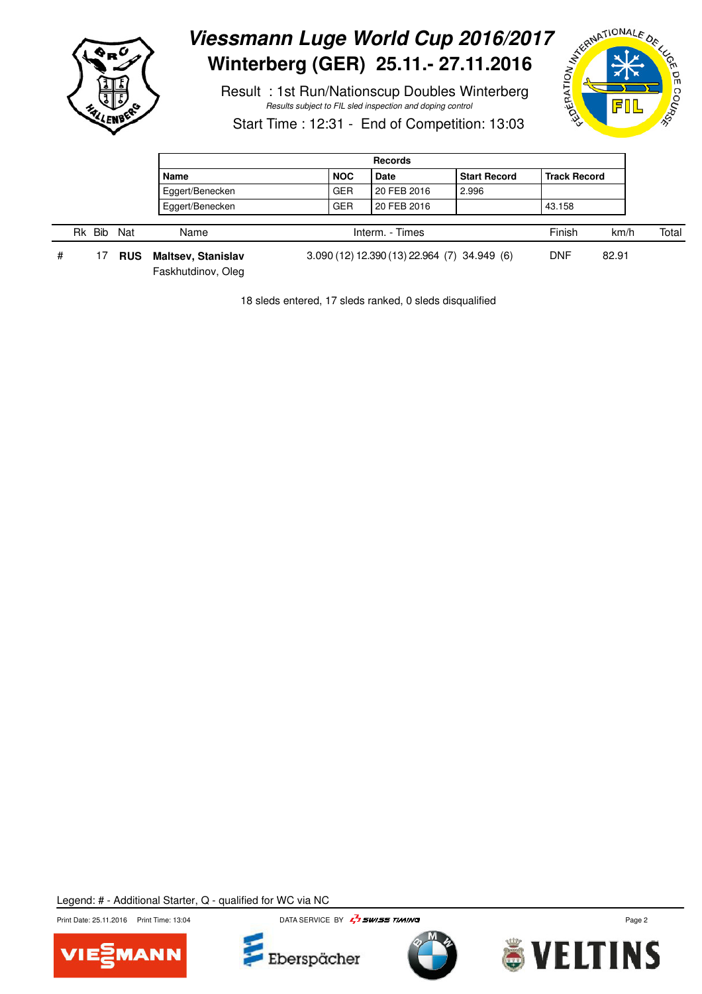

# Viessmann Luge World Cup 2016/2017<br>
Winterberg (GER) 25.11.- 27.11.2016<br>
Result : 1st Run/Nationscup Doubles Winterberg<br>
Start Time : 12:31 - End of C **Winterberg (GER) 25.11.- 27.11.2016**

 Result : 1st Run/Nationscup Doubles Winterberg Results subject to FIL sled inspection and doping control



Start Time : 12:31 - End of Competition: 13:03

|   |           |     |                                          | <b>Records</b> |                                              |                     |                     |      |       |  |  |  |
|---|-----------|-----|------------------------------------------|----------------|----------------------------------------------|---------------------|---------------------|------|-------|--|--|--|
|   |           |     | Name                                     | <b>NOC</b>     | <b>Date</b>                                  | <b>Start Record</b> | <b>Track Record</b> |      |       |  |  |  |
|   |           |     | Eggert/Benecken                          | <b>GER</b>     | 20 FEB 2016                                  | 2.996               |                     |      |       |  |  |  |
|   |           |     | Eggert/Benecken                          | <b>GER</b>     | 20 FEB 2016                                  |                     | 43.158              |      |       |  |  |  |
|   | Bib<br>Rk | Nat | Name                                     |                | Interm. - Times                              |                     | Finish              | km/h | Total |  |  |  |
| # |           | RUS | Maltsev, Stanislav<br>Faskhutdinov, Oleg |                | 3.090 (12) 12.390 (13) 22.964 (7) 34.949 (6) | <b>DNF</b>          | 82.91               |      |       |  |  |  |

18 sleds entered, 17 sleds ranked, 0 sleds disqualified







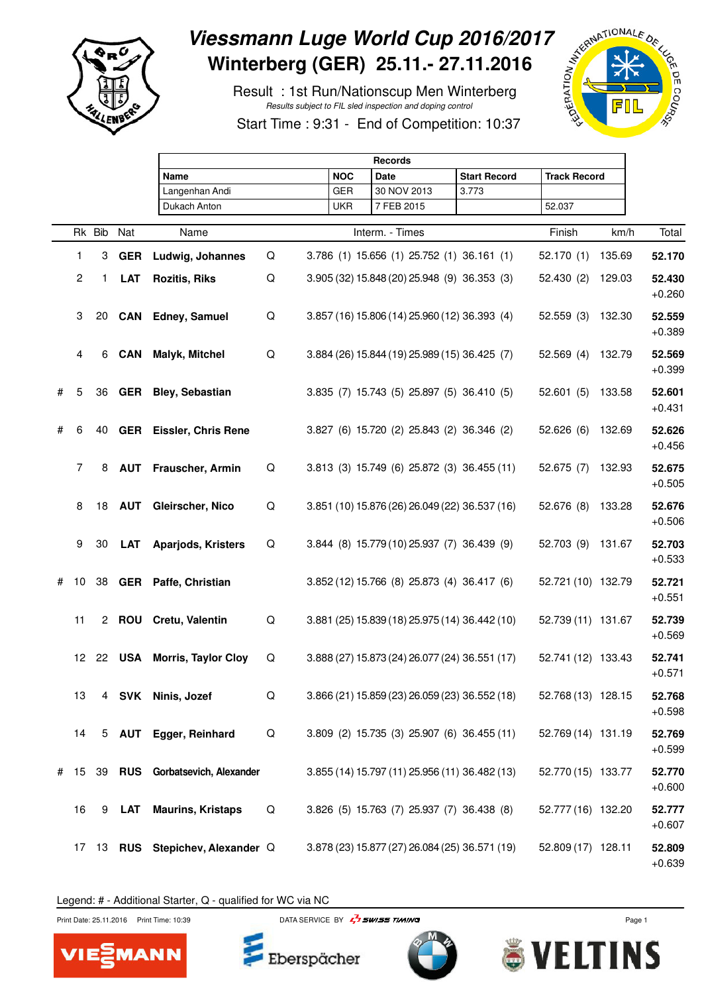

## Viessmann Luge World Cup 2016/2017<br>
Winterberg (GER) 25.11.- 27.11.2016<br>
Result : 1st Run/Nationscup Men Winterberg<br>
Start Time : 9:31 - End of Care and Coping control **Winterberg (GER) 25.11.- 27.11.2016**

 Result : 1st Run/Nationscup Men Winterberg Results subject to FIL sled inspection and doping control



Start Time : 9:31 - End of Competition: 10:37

|   |                |    |               | <b>Records</b>                   |   |            |  |                                                |                     |                     |        |                    |  |
|---|----------------|----|---------------|----------------------------------|---|------------|--|------------------------------------------------|---------------------|---------------------|--------|--------------------|--|
|   |                |    |               | <b>Name</b>                      |   | <b>NOC</b> |  | <b>Date</b>                                    | <b>Start Record</b> | <b>Track Record</b> |        |                    |  |
|   |                |    |               | Langenhan Andi                   |   | <b>GER</b> |  | 30 NOV 2013                                    | 3.773               |                     |        |                    |  |
|   |                |    |               | Dukach Anton                     |   | UKR        |  | 7 FEB 2015                                     |                     | 52.037              |        |                    |  |
|   |                |    | Rk Bib Nat    | Name                             |   |            |  | Interm. - Times                                |                     | Finish              | km/h   | Total              |  |
|   | 1              | 3  | <b>GER</b>    | Ludwig, Johannes                 | Q |            |  | 3.786 (1) 15.656 (1) 25.752 (1) 36.161 (1)     |                     | 52.170(1)           | 135.69 | 52.170             |  |
|   | $\overline{2}$ | 1. | <b>LAT</b>    | <b>Rozitis, Riks</b>             | Q |            |  | 3.905 (32) 15.848 (20) 25.948 (9) 36.353 (3)   |                     | 52.430(2)           | 129.03 | 52.430<br>$+0.260$ |  |
|   | 3              |    |               | 20 CAN Edney, Samuel             | Q |            |  | 3.857 (16) 15.806 (14) 25.960 (12) 36.393 (4)  |                     | 52.559(3)           | 132.30 | 52.559<br>$+0.389$ |  |
|   | 4              | 6  | <b>CAN</b>    | <b>Malyk, Mitchel</b>            | Q |            |  | 3.884 (26) 15.844 (19) 25.989 (15) 36.425 (7)  |                     | 52.569(4)           | 132.79 | 52.569<br>$+0.399$ |  |
| # | 5              |    |               | 36 GER Bley, Sebastian           |   |            |  | 3.835 (7) 15.743 (5) 25.897 (5) 36.410 (5)     |                     | 52.601(5)           | 133.58 | 52.601<br>$+0.431$ |  |
| # | 6              |    |               | 40 GER Eissler, Chris Rene       |   |            |  | 3.827 (6) 15.720 (2) 25.843 (2) 36.346 (2)     |                     | 52.626(6)           | 132.69 | 52.626<br>$+0.456$ |  |
|   | $\overline{7}$ | 8  |               | <b>AUT</b> Frauscher, Armin      | Q |            |  | 3.813 (3) 15.749 (6) 25.872 (3) 36.455 (11)    |                     | 52.675(7)           | 132.93 | 52.675<br>$+0.505$ |  |
|   | 8              |    | <b>18 AUT</b> | Gleirscher, Nico                 | Q |            |  | 3.851 (10) 15.876 (26) 26.049 (22) 36.537 (16) |                     | 52.676 (8)          | 133.28 | 52.676<br>$+0.506$ |  |
|   | 9              | 30 | <b>LAT</b>    | <b>Aparjods, Kristers</b>        | Q |            |  | 3.844 (8) 15.779 (10) 25.937 (7) 36.439 (9)    |                     | 52.703 (9)          | 131.67 | 52.703<br>$+0.533$ |  |
| # | 10             | 38 |               | GER Paffe, Christian             |   |            |  | 3.852 (12) 15.766 (8) 25.873 (4) 36.417 (6)    |                     | 52.721 (10) 132.79  |        | 52.721<br>$+0.551$ |  |
|   | 11             |    |               | 2 ROU Cretu, Valentin            | Q |            |  | 3.881 (25) 15.839 (18) 25.975 (14) 36.442 (10) |                     | 52.739 (11) 131.67  |        | 52.739<br>$+0.569$ |  |
|   |                |    | 12 22 USA     | <b>Morris, Taylor Cloy</b>       | Q |            |  | 3.888 (27) 15.873 (24) 26.077 (24) 36.551 (17) |                     | 52.741 (12) 133.43  |        | 52.741<br>$+0.571$ |  |
|   | 13             |    |               | 4 SVK Ninis, Jozef               | Q |            |  | 3.866 (21) 15.859 (23) 26.059 (23) 36.552 (18) |                     | 52.768 (13) 128.15  |        | 52.768<br>$+0.598$ |  |
|   | 14             |    |               | 5 AUT Egger, Reinhard            | Q |            |  | 3.809 (2) 15.735 (3) 25.907 (6) 36.455 (11)    |                     | 52.769 (14) 131.19  |        | 52.769<br>$+0.599$ |  |
| # | 15             |    |               | 39 RUS Gorbatsevich, Alexander   |   |            |  | 3.855 (14) 15.797 (11) 25.956 (11) 36.482 (13) |                     | 52.770 (15) 133.77  |        | 52.770<br>$+0.600$ |  |
|   | 16             | 9  | LAT           | <b>Maurins, Kristaps</b>         | Q |            |  | 3.826 (5) 15.763 (7) 25.937 (7) 36.438 (8)     |                     | 52.777 (16) 132.20  |        | 52.777<br>$+0.607$ |  |
|   |                |    |               | 17 13 RUS Stepichev, Alexander Q |   |            |  | 3.878 (23) 15.877 (27) 26.084 (25) 36.571 (19) |                     | 52.809 (17) 128.11  |        | 52.809<br>$+0.639$ |  |

Legend: # - Additional Starter, Q - qualified for WC via NC



Print Date: 25.11.2016 Print Time: 10:39 DATA SERVICE BY  $\frac{1}{4}$  SWISS TIMING



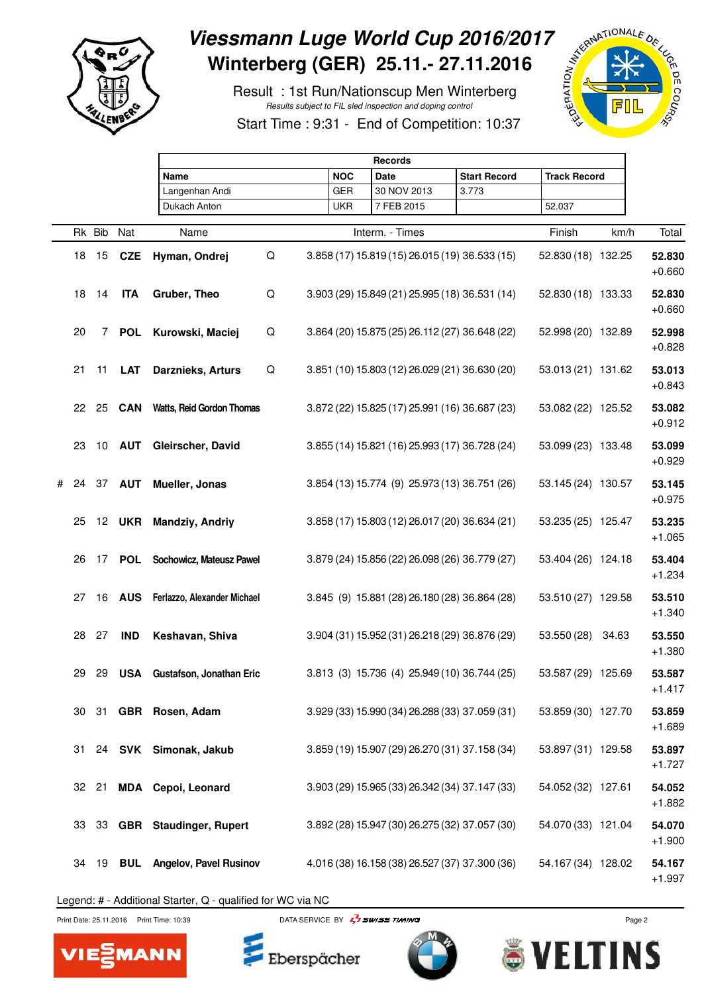

## Viessmann Luge World Cup 2016/2017<br>
Winterberg (GER) 25.11.- 27.11.2016<br>
Result : 1st Run/Nationscup Men Winterberg<br>
Start Time : 9:31 - End of Care and Coping control **Winterberg (GER) 25.11.- 27.11.2016**

 Result : 1st Run/Nationscup Men Winterberg Results subject to FIL sled inspection and doping control



Start Time : 9:31 - End of Competition: 10:37

|   |    |                |               | <b>Records</b>                    |   |  |            |             |                 |  |                                                |                     |      |                    |
|---|----|----------------|---------------|-----------------------------------|---|--|------------|-------------|-----------------|--|------------------------------------------------|---------------------|------|--------------------|
|   |    |                |               | Name                              |   |  |            | <b>Date</b> |                 |  | <b>Start Record</b>                            | <b>Track Record</b> |      |                    |
|   |    |                |               | Langenhan Andi                    |   |  | <b>GER</b> |             | 30 NOV 2013     |  | 3.773                                          |                     |      |                    |
|   |    |                |               | Dukach Anton                      |   |  | UKR        |             | 7 FEB 2015      |  |                                                | 52.037              |      |                    |
|   |    |                |               |                                   |   |  |            |             |                 |  |                                                |                     |      |                    |
|   |    | Rk Bib Nat     |               | Name                              |   |  |            |             | Interm. - Times |  |                                                | Finish              | km/h | Total              |
|   | 18 | 15             |               | CZE Hyman, Ondrej                 | Q |  |            |             |                 |  | 3.858 (17) 15.819 (15) 26.015 (19) 36.533 (15) | 52.830 (18) 132.25  |      | 52.830<br>$+0.660$ |
|   | 18 | 14             | <b>ITA</b>    | Gruber, Theo                      | Q |  |            |             |                 |  | 3.903 (29) 15.849 (21) 25.995 (18) 36.531 (14) | 52.830 (18) 133.33  |      | 52.830<br>$+0.660$ |
|   | 20 | $\overline{7}$ | <b>POL</b>    | Kurowski, Maciej                  | Q |  |            |             |                 |  | 3.864 (20) 15.875 (25) 26.112 (27) 36.648 (22) | 52.998 (20) 132.89  |      | 52.998<br>$+0.828$ |
|   | 21 | 11             | LAT           | <b>Darznieks, Arturs</b>          | Q |  |            |             |                 |  | 3.851 (10) 15.803 (12) 26.029 (21) 36.630 (20) | 53.013 (21) 131.62  |      | 53.013<br>$+0.843$ |
|   | 22 | 25             | <b>CAN</b>    | <b>Watts, Reid Gordon Thomas</b>  |   |  |            |             |                 |  | 3.872 (22) 15.825 (17) 25.991 (16) 36.687 (23) | 53.082 (22) 125.52  |      | 53.082<br>$+0.912$ |
|   | 23 |                | 10 <b>AUT</b> | Gleirscher, David                 |   |  |            |             |                 |  | 3.855 (14) 15.821 (16) 25.993 (17) 36.728 (24) | 53.099 (23) 133.48  |      | 53.099<br>$+0.929$ |
| # | 24 | 37             | <b>AUT</b>    | Mueller, Jonas                    |   |  |            |             |                 |  | 3.854 (13) 15.774 (9) 25.973 (13) 36.751 (26)  | 53.145 (24) 130.57  |      | 53.145<br>$+0.975$ |
|   | 25 |                | <b>12 UKR</b> | <b>Mandziy, Andriy</b>            |   |  |            |             |                 |  | 3.858 (17) 15.803 (12) 26.017 (20) 36.634 (21) | 53.235 (25) 125.47  |      | 53.235<br>$+1.065$ |
|   | 26 |                |               | 17 POL Sochowicz, Mateusz Pawel   |   |  |            |             |                 |  | 3.879 (24) 15.856 (22) 26.098 (26) 36.779 (27) | 53.404 (26) 124.18  |      | 53.404<br>$+1.234$ |
|   | 27 | 16             |               | AUS Ferlazzo, Alexander Michael   |   |  |            |             |                 |  | 3.845 (9) 15.881 (28) 26.180 (28) 36.864 (28)  | 53.510 (27) 129.58  |      | 53.510<br>$+1.340$ |
|   | 28 | 27             | <b>IND</b>    | Keshavan, Shiva                   |   |  |            |             |                 |  | 3.904 (31) 15.952 (31) 26.218 (29) 36.876 (29) | 53.550 (28) 34.63   |      | 53.550<br>$+1.380$ |
|   | 29 |                |               | 29 USA Gustafson, Jonathan Eric   |   |  |            |             |                 |  | 3.813 (3) 15.736 (4) 25.949 (10) 36.744 (25)   | 53.587 (29) 125.69  |      | 53.587<br>$+1.417$ |
|   | 30 |                |               | 31 GBR Rosen, Adam                |   |  |            |             |                 |  | 3.929 (33) 15.990 (34) 26.288 (33) 37.059 (31) | 53.859 (30) 127.70  |      | 53.859<br>$+1.689$ |
|   | 31 |                |               | 24 SVK Simonak, Jakub             |   |  |            |             |                 |  | 3.859 (19) 15.907 (29) 26.270 (31) 37.158 (34) | 53.897 (31) 129.58  |      | 53.897<br>$+1.727$ |
|   | 32 |                |               | 21 MDA Cepoi, Leonard             |   |  |            |             |                 |  | 3.903 (29) 15.965 (33) 26.342 (34) 37.147 (33) | 54.052 (32) 127.61  |      | 54.052<br>$+1.882$ |
|   | 33 |                |               | 33 GBR Staudinger, Rupert         |   |  |            |             |                 |  | 3.892 (28) 15.947 (30) 26.275 (32) 37.057 (30) | 54.070 (33) 121.04  |      | 54.070<br>$+1.900$ |
|   | 34 | 19             |               | <b>BUL</b> Angelov, Pavel Rusinov |   |  |            |             |                 |  | 4.016 (38) 16.158 (38) 26.527 (37) 37.300 (36) | 54.167 (34) 128.02  |      | 54.167<br>$+1.997$ |

Legend: # - Additional Starter, Q - qualified for WC via NC



MANN VIE

Print Date: 25.11.2016 Print Time: 10:39 DATA SERVICE BY  $\frac{1}{2}$  SWISS TIMING



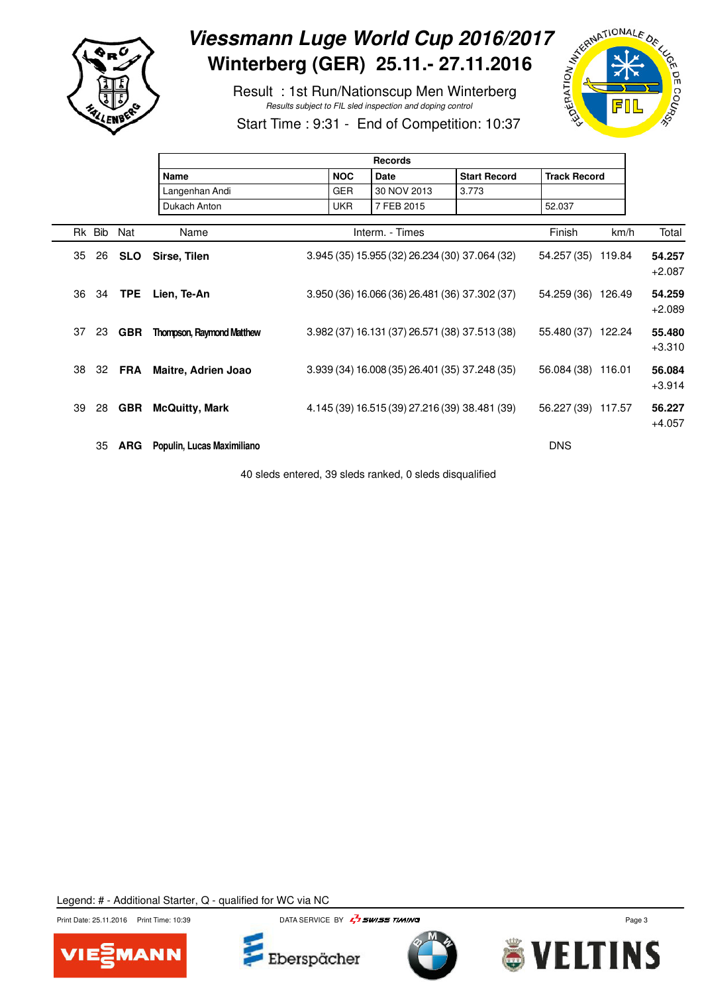

## Viessmann Luge World Cup 2016/2017<br>
Winterberg (GER) 25.11.- 27.11.2016<br>
Result : 1st Run/Nationscup Men Winterberg<br>
Start Time : 9:31 - End of O **Winterberg (GER) 25.11.- 27.11.2016**

 Result : 1st Run/Nationscup Men Winterberg Results subject to FIL sled inspection and doping control



Start Time : 9:31 - End of Competition: 10:37

|    |        |            | Records                          |  |            |                                                |                     |                     |        |                    |  |  |  |  |
|----|--------|------------|----------------------------------|--|------------|------------------------------------------------|---------------------|---------------------|--------|--------------------|--|--|--|--|
|    |        |            | <b>Name</b>                      |  | <b>NOC</b> | <b>Date</b>                                    | <b>Start Record</b> | <b>Track Record</b> |        |                    |  |  |  |  |
|    |        |            | Langenhan Andi                   |  | <b>GER</b> | 30 NOV 2013                                    | 3.773               |                     |        |                    |  |  |  |  |
|    |        |            | Dukach Anton                     |  | <b>UKR</b> | 7 FEB 2015                                     |                     | 52.037              |        |                    |  |  |  |  |
|    | Rk Bib | Nat        | Name                             |  |            | Interm. - Times                                |                     | Finish              | km/h   | Total              |  |  |  |  |
| 35 | 26     | SLO        | Sirse, Tilen                     |  |            | 3.945 (35) 15.955 (32) 26.234 (30) 37.064 (32) |                     | 54.257 (35)         | 119.84 | 54.257<br>$+2.087$ |  |  |  |  |
| 36 | 34     | <b>TPE</b> | Lien, Te-An                      |  |            | 3.950 (36) 16.066 (36) 26.481 (36) 37.302 (37) |                     | 54.259 (36) 126.49  |        | 54.259<br>$+2.089$ |  |  |  |  |
| 37 | 23     | <b>GBR</b> | <b>Thompson, Raymond Matthew</b> |  |            | 3.982 (37) 16.131 (37) 26.571 (38) 37.513 (38) |                     | 55.480 (37)         | 122.24 | 55.480<br>$+3.310$ |  |  |  |  |
| 38 | 32     | FRA        | Maitre, Adrien Joao              |  |            | 3.939 (34) 16.008 (35) 26.401 (35) 37.248 (35) |                     | 56.084 (38)         | 116.01 | 56.084<br>$+3.914$ |  |  |  |  |
| 39 | 28     | <b>GBR</b> | <b>McQuitty, Mark</b>            |  |            | 4.145 (39) 16.515 (39) 27.216 (39) 38.481 (39) |                     | 56.227 (39) 117.57  |        | 56.227<br>$+4.057$ |  |  |  |  |
|    | 35     | ARG        | Populin, Lucas Maximiliano       |  |            |                                                |                     | <b>DNS</b>          |        |                    |  |  |  |  |

40 sleds entered, 39 sleds ranked, 0 sleds disqualified







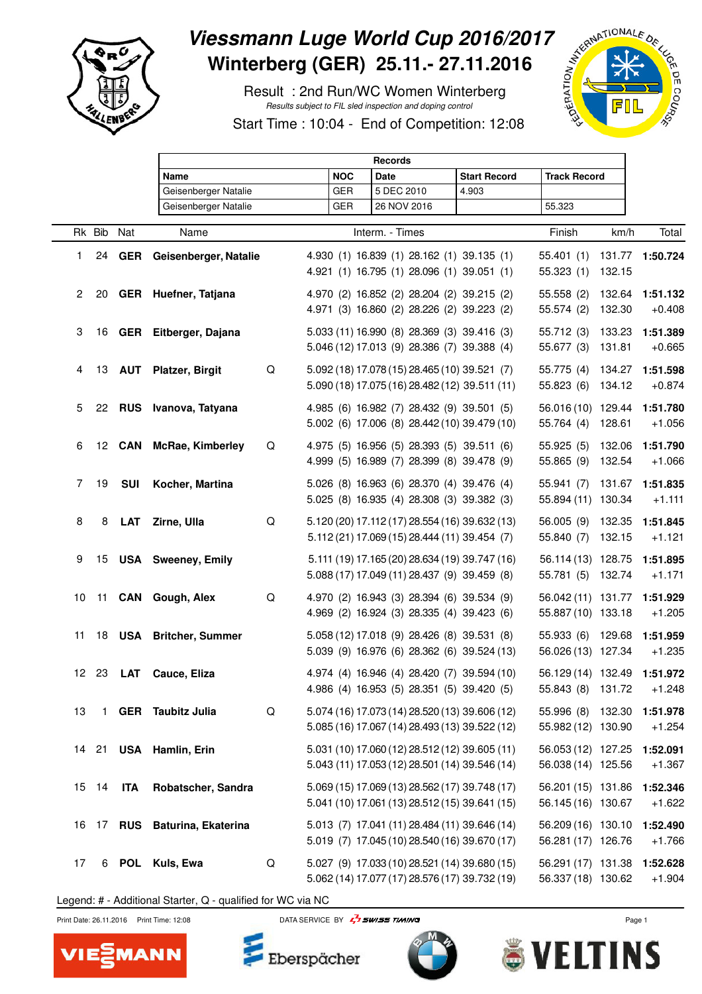

## Viessmann Luge World Cup 2016/2017<br>
Winterberg (GER) 25.11.- 27.11.2016<br>
Result : 2nd Run/WC Women Winterberg<br>
Start Time : 10:04 - End of October 2007 **Winterberg (GER) 25.11.- 27.11.2016**

 Result : 2nd Run/WC Women Winterberg Results subject to FIL sled inspection and doping control





|                |        |            | <b>Records</b>                |   |            |                 |                                                                                                  |       |                     |                                                  |                  |                      |
|----------------|--------|------------|-------------------------------|---|------------|-----------------|--------------------------------------------------------------------------------------------------|-------|---------------------|--------------------------------------------------|------------------|----------------------|
|                |        |            | Name                          |   | <b>NOC</b> | <b>Date</b>     |                                                                                                  |       | <b>Start Record</b> | <b>Track Record</b>                              |                  |                      |
|                |        |            | Geisenberger Natalie          |   | <b>GER</b> |                 | 5 DEC 2010                                                                                       | 4.903 |                     |                                                  |                  |                      |
|                |        |            | Geisenberger Natalie          |   | <b>GER</b> |                 | 26 NOV 2016                                                                                      |       |                     | 55.323                                           |                  |                      |
|                | Rk Bib | Nat        | Name                          |   |            | Interm. - Times |                                                                                                  |       |                     | Finish                                           | km/h             | Total                |
| 1.             | 24     | GER        | Geisenberger, Natalie         |   |            |                 | 4.930 (1) 16.839 (1) 28.162 (1) 39.135 (1)<br>4.921 (1) 16.795 (1) 28.096 (1) 39.051 (1)         |       |                     | 55.401(1)<br>55.323(1)                           | 131.77<br>132.15 | 1:50.724             |
| $\overline{2}$ |        |            | 20 GER Huefner, Tatjana       |   |            |                 | 4.970 (2) 16.852 (2) 28.204 (2) 39.215 (2)<br>4.971 (3) 16.860 (2) 28.226 (2) 39.223 (2)         |       |                     | 55.558 (2)<br>55.574 (2)                         | 132.64<br>132.30 | 1:51.132<br>$+0.408$ |
| 3              | 16     |            | GER Eitberger, Dajana         |   |            |                 | 5.033 (11) 16.990 (8) 28.369 (3) 39.416 (3)<br>5.046 (12) 17.013 (9) 28.386 (7) 39.388 (4)       |       |                     | 55.712 (3)<br>55.677 (3) 131.81                  | 133.23           | 1:51.389<br>$+0.665$ |
| 4              |        |            | 13 AUT Platzer, Birgit        | Q |            |                 | 5.092 (18) 17.078 (15) 28.465 (10) 39.521 (7)<br>5.090 (18) 17.075 (16) 28.482 (12) 39.511 (11)  |       |                     | 55.775 (4)<br>55.823 (6)                         | 134.27<br>134.12 | 1:51.598<br>$+0.874$ |
| 5              |        |            | 22 RUS Ivanova, Tatyana       |   |            |                 | 4.985 (6) 16.982 (7) 28.432 (9) 39.501 (5)<br>5.002 (6) 17.006 (8) 28.442 (10) 39.479 (10)       |       |                     | 56.016 (10) 129.44<br>55.764 (4)                 | 128.61           | 1:51.780<br>$+1.056$ |
| 6              |        |            | 12 CAN McRae, Kimberley       | Q |            |                 | 4.975 (5) 16.956 (5) 28.393 (5) 39.511 (6)<br>4.999 (5) 16.989 (7) 28.399 (8) 39.478 (9)         |       |                     | 55.925(5)<br>55.865 (9)                          | 132.06<br>132.54 | 1:51.790<br>$+1.066$ |
| 7              | 19     | <b>SUI</b> | Kocher, Martina               |   |            |                 | 5.026 (8) 16.963 (6) 28.370 (4) 39.476 (4)<br>5.025 (8) 16.935 (4) 28.308 (3) 39.382 (3)         |       |                     | 55.941 (7)<br>55.894 (11) 130.34                 | 131.67           | 1:51.835<br>$+1.111$ |
| 8              | 8      | <b>LAT</b> | Zirne, Ulla                   | Q |            |                 | 5.120 (20) 17.112 (17) 28.554 (16) 39.632 (13)<br>5.112 (21) 17.069 (15) 28.444 (11) 39.454 (7)  |       |                     | 56.005 (9)<br>55.840 (7)                         | 132.35<br>132.15 | 1:51.845<br>$+1.121$ |
| 9              |        |            | 15 USA Sweeney, Emily         |   |            |                 | 5.111 (19) 17.165 (20) 28.634 (19) 39.747 (16)<br>5.088 (17) 17.049 (11) 28.437 (9) 39.459 (8)   |       |                     | 56.114 (13) 128.75<br>55.781 (5) 132.74          |                  | 1:51.895<br>$+1.171$ |
| 10             |        |            | 11 CAN Gough, Alex            | Q |            |                 | 4.970 (2) 16.943 (3) 28.394 (6) 39.534 (9)<br>4.969 (2) 16.924 (3) 28.335 (4) 39.423 (6)         |       |                     | 56.042 (11) 131.77<br>55.887 (10) 133.18         |                  | 1:51.929<br>$+1.205$ |
| 11             |        |            | 18 USA Britcher, Summer       |   |            |                 | 5.058 (12) 17.018 (9) 28.426 (8) 39.531 (8)<br>5.039 (9) 16.976 (6) 28.362 (6) 39.524 (13)       |       |                     | 55.933 (6) 129.68<br>56.026 (13) 127.34          |                  | 1:51.959<br>$+1.235$ |
|                | 12 23  | LAT        | Cauce, Eliza                  |   |            |                 | 4.974 (4) 16.946 (4) 28.420 (7) 39.594 (10)<br>4.986 (4) 16.953 (5) 28.351 (5) 39.420 (5)        |       |                     | 56.129 (14) 132.49 1:51.972<br>55.843 (8) 131.72 |                  | $+1.248$             |
| 13             |        |            | 1 GER Taubitz Julia           | Q |            |                 | 5.074 (16) 17.073 (14) 28.520 (13) 39.606 (12)<br>5.085 (16) 17.067 (14) 28.493 (13) 39.522 (12) |       |                     | 55.996 (8) 132.30<br>55.982 (12) 130.90          |                  | 1:51.978<br>$+1.254$ |
|                | 14 21  |            | USA Hamlin, Erin              |   |            |                 | 5.031 (10) 17.060 (12) 28.512 (12) 39.605 (11)<br>5.043 (11) 17.053 (12) 28.501 (14) 39.546 (14) |       |                     | 56.053 (12) 127.25<br>56.038 (14) 125.56         |                  | 1:52.091<br>$+1.367$ |
|                | 15 14  | <b>ITA</b> | Robatscher, Sandra            |   |            |                 | 5.069 (15) 17.069 (13) 28.562 (17) 39.748 (17)<br>5.041 (10) 17.061 (13) 28.512 (15) 39.641 (15) |       |                     | 56.201 (15) 131.86<br>56.145 (16) 130.67         |                  | 1:52.346<br>$+1.622$ |
|                |        |            | 16 17 RUS Baturina, Ekaterina |   |            |                 | 5.013 (7) 17.041 (11) 28.484 (11) 39.646 (14)<br>5.019 (7) 17.045 (10) 28.540 (16) 39.670 (17)   |       |                     | 56.209 (16) 130.10<br>56.281 (17) 126.76         |                  | 1:52.490<br>$+1.766$ |
| 17             | 6      |            | POL Kuls, Ewa                 | Q |            |                 | 5.027 (9) 17.033 (10) 28.521 (14) 39.680 (15)<br>5.062 (14) 17.077 (17) 28.576 (17) 39.732 (19)  |       |                     | 56.291 (17) 131.38<br>56.337 (18) 130.62         |                  | 1:52.628<br>$+1.904$ |

Legend: # - Additional Starter, Q - qualified for WC via NC



MANN VIE



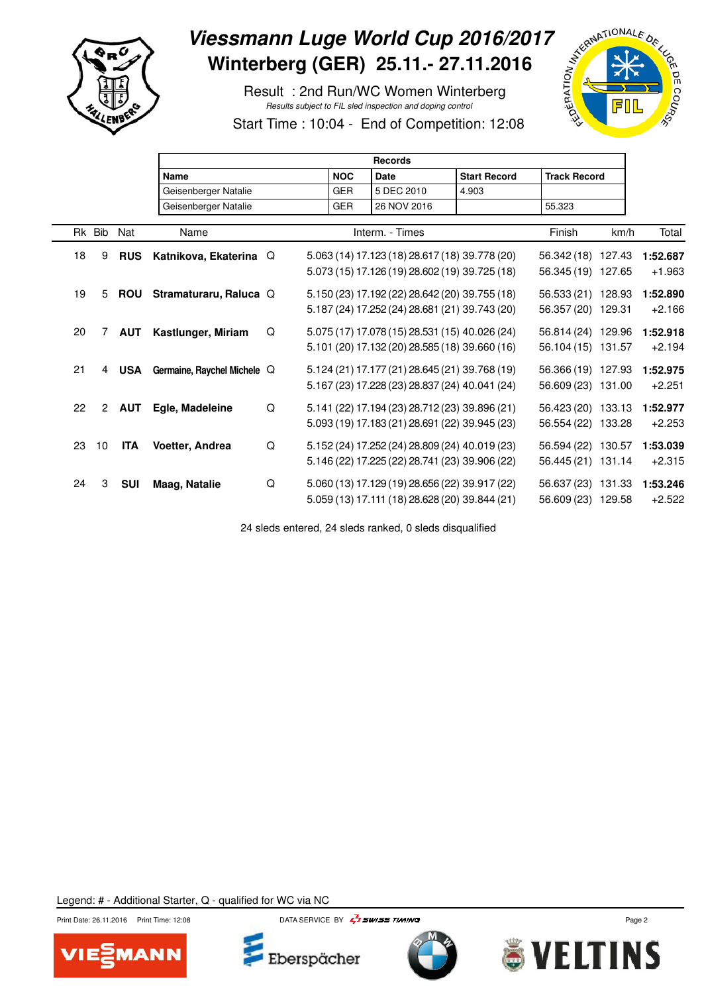

Г

# Viessmann Luge World Cup 2016/2017<br>Winterberg (GER) 25.11.- 27.11.2016<br>Result : 2nd Run/WC Women Winterberg<br>Start Time : 16.7 **Winterberg (GER) 25.11.- 27.11.2016**

 Result : 2nd Run/WC Women Winterberg Results subject to FIL sled inspection and doping control



Start Time : 10:04 - End of Competition: 12:08

|    |                |            | <b>Records</b>              |   |  |            |             |                 |  |                                                |                     |      |          |
|----|----------------|------------|-----------------------------|---|--|------------|-------------|-----------------|--|------------------------------------------------|---------------------|------|----------|
|    |                |            | <b>Name</b>                 |   |  | <b>NOC</b> | <b>Date</b> |                 |  | <b>Start Record</b>                            | <b>Track Record</b> |      |          |
|    |                |            | Geisenberger Natalie        |   |  | <b>GER</b> |             | 5 DEC 2010      |  | 4.903                                          |                     |      |          |
|    |                |            | Geisenberger Natalie        |   |  | <b>GER</b> |             | 26 NOV 2016     |  |                                                | 55.323              |      |          |
|    | Rk Bib         | Nat        | Name                        |   |  |            |             | Interm. - Times |  |                                                | Finish              | km/h | Total    |
| 18 | 9              | <b>RUS</b> | Katnikova, Ekaterina Q      |   |  |            |             |                 |  | 5.063 (14) 17.123 (18) 28.617 (18) 39.778 (20) | 56.342 (18) 127.43  |      | 1:52.687 |
|    |                |            |                             |   |  |            |             |                 |  | 5.073 (15) 17.126 (19) 28.602 (19) 39.725 (18) | 56.345 (19) 127.65  |      | $+1.963$ |
| 19 | 5              | <b>ROU</b> | Stramaturaru, Raluca Q      |   |  |            |             |                 |  | 5.150 (23) 17.192 (22) 28.642 (20) 39.755 (18) | 56.533 (21) 128.93  |      | 1:52.890 |
|    |                |            |                             |   |  |            |             |                 |  | 5.187 (24) 17.252 (24) 28.681 (21) 39.743 (20) | 56.357 (20) 129.31  |      | $+2.166$ |
| 20 | 7              | <b>AUT</b> | Kastlunger, Miriam          | Q |  |            |             |                 |  | 5.075 (17) 17.078 (15) 28.531 (15) 40.026 (24) | 56.814 (24) 129.96  |      | 1:52.918 |
|    |                |            |                             |   |  |            |             |                 |  | 5.101 (20) 17.132 (20) 28.585 (18) 39.660 (16) | 56.104 (15) 131.57  |      | $+2.194$ |
| 21 | 4              | USA        | Germaine, Raychel Michele Q |   |  |            |             |                 |  | 5.124 (21) 17.177 (21) 28.645 (21) 39.768 (19) | 56.366 (19) 127.93  |      | 1:52.975 |
|    |                |            |                             |   |  |            |             |                 |  | 5.167 (23) 17.228 (23) 28.837 (24) 40.041 (24) | 56.609 (23) 131.00  |      | $+2.251$ |
| 22 | $\overline{2}$ | <b>AUT</b> | Egle, Madeleine             | Q |  |            |             |                 |  | 5.141 (22) 17.194 (23) 28.712 (23) 39.896 (21) | 56.423 (20) 133.13  |      | 1:52.977 |
|    |                |            |                             |   |  |            |             |                 |  | 5.093 (19) 17.183 (21) 28.691 (22) 39.945 (23) | 56.554 (22) 133.28  |      | $+2.253$ |
| 23 | 10             | ITA        | Voetter, Andrea             | Q |  |            |             |                 |  | 5.152 (24) 17.252 (24) 28.809 (24) 40.019 (23) | 56.594 (22) 130.57  |      | 1:53.039 |
|    |                |            |                             |   |  |            |             |                 |  | 5.146 (22) 17.225 (22) 28.741 (23) 39.906 (22) | 56.445 (21) 131.14  |      | $+2.315$ |
| 24 | 3              | <b>SUI</b> | <b>Maag, Natalie</b>        | Q |  |            |             |                 |  | 5.060 (13) 17.129 (19) 28.656 (22) 39.917 (22) | 56.637 (23) 131.33  |      | 1:53.246 |
|    |                |            |                             |   |  |            |             |                 |  | 5.059 (13) 17.111 (18) 28.628 (20) 39.844 (21) | 56.609 (23) 129.58  |      | $+2.522$ |

24 sleds entered, 24 sleds ranked, 0 sleds disqualified







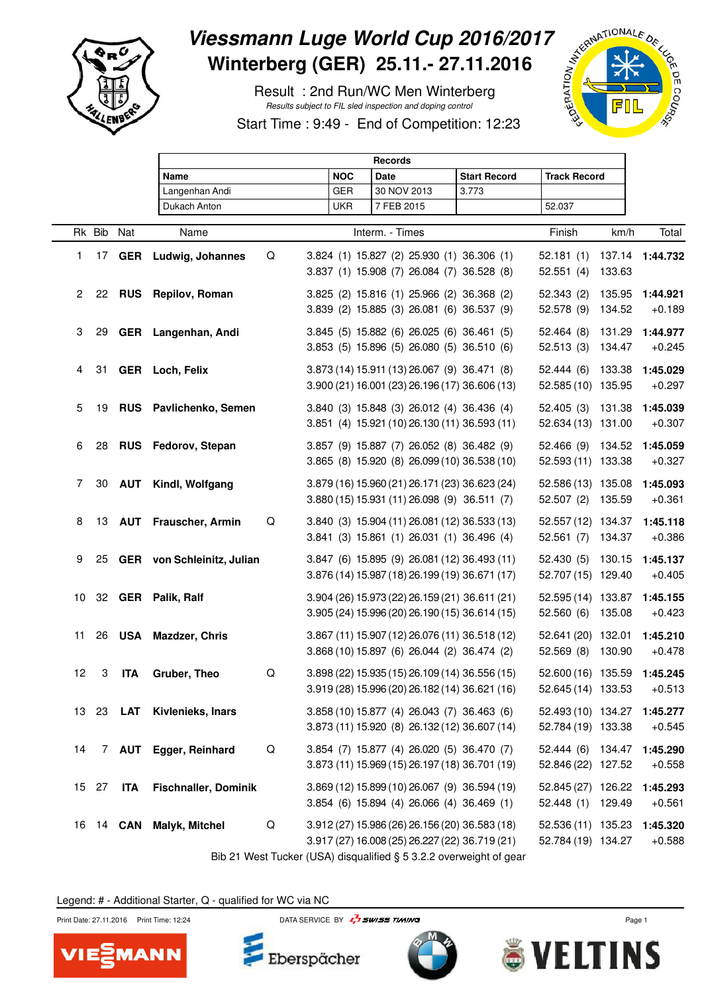

# Viessmann Luge World Cup 2016/2017<br>
Winterberg (GER) 25.11.- 27.11.2016<br>
Result : 2nd Run/WC Men Winterberg<br>
Start Time : 9:49 - End of Care with the community of the Care of Care with the control of the control of the con **Winterberg (GER) 25.11.- 27.11.2016**

 Result : 2nd Run/WC Men Winterberg Results subject to FIL sled inspection and doping control

Start Time : 9:49 - End of Competition: 12:23



|              |        |               | <b>Records</b>              |   |  |            |                                                                                                  |                     |                                          |                  |                      |  |
|--------------|--------|---------------|-----------------------------|---|--|------------|--------------------------------------------------------------------------------------------------|---------------------|------------------------------------------|------------------|----------------------|--|
|              |        |               | Name                        |   |  | <b>NOC</b> | <b>Date</b>                                                                                      | <b>Start Record</b> | <b>Track Record</b>                      |                  |                      |  |
|              |        |               | Langenhan Andi              |   |  | <b>GER</b> | 30 NOV 2013                                                                                      | 3.773               |                                          |                  |                      |  |
|              |        |               | Dukach Anton                |   |  | <b>UKR</b> | 7 FEB 2015                                                                                       |                     | 52.037                                   |                  |                      |  |
|              | Rk Bib | Nat           | Name                        |   |  |            | Interm. - Times                                                                                  |                     | Finish                                   | km/h             | Total                |  |
| 1            |        |               | 17 GER Ludwig, Johannes     | Q |  |            | 3.824 (1) 15.827 (2) 25.930 (1) 36.306 (1)<br>3.837 (1) 15.908 (7) 26.084 (7) 36.528 (8)         |                     | 52.181(1)<br>52.551(4)                   | 137.14<br>133.63 | 1:44.732             |  |
| $\mathbf{2}$ |        |               | 22 RUS Repilov, Roman       |   |  |            | 3.825 (2) 15.816 (1) 25.966 (2) 36.368 (2)<br>3.839 (2) 15.885 (3) 26.081 (6) 36.537 (9)         |                     | 52.343(2)<br>52.578 (9)                  | 135.95<br>134.52 | 1:44.921<br>$+0.189$ |  |
| 3            | 29     |               | GER Langenhan, Andi         |   |  |            | 3.845 (5) 15.882 (6) 26.025 (6) 36.461 (5)<br>3.853 (5) 15.896 (5) 26.080 (5) 36.510 (6)         |                     | 52.464(8)<br>52.513(3)                   | 131.29<br>134.47 | 1:44.977<br>$+0.245$ |  |
| 4            | 31     |               | GER Loch, Felix             |   |  |            | 3.873 (14) 15.911 (13) 26.067 (9) 36.471 (8)<br>3.900 (21) 16.001 (23) 26.196 (17) 36.606 (13)   |                     | 52.444(6)<br>52.585 (10) 135.95          | 133.38           | 1:45.029<br>$+0.297$ |  |
| 5            | 19     |               | RUS Pavlichenko, Semen      |   |  |            | 3.840 (3) 15.848 (3) 26.012 (4) 36.436 (4)<br>3.851 (4) 15.921 (10) 26.130 (11) 36.593 (11)      |                     | 52.405(3)<br>52.634 (13) 131.00          | 131.38           | 1:45.039<br>$+0.307$ |  |
| 6            | 28     |               | RUS Fedorov, Stepan         |   |  |            | 3.857 (9) 15.887 (7) 26.052 (8) 36.482 (9)<br>3.865 (8) 15.920 (8) 26.099 (10) 36.538 (10)       |                     | 52.466 (9)<br>52.593 (11) 133.38         | 134.52           | 1:45.059<br>$+0.327$ |  |
| 7            | 30     |               | <b>AUT</b> Kindl, Wolfgang  |   |  |            | 3.879 (16) 15.960 (21) 26.171 (23) 36.623 (24)<br>3.880 (15) 15.931 (11) 26.098 (9) 36.511 (7)   |                     | 52.586 (13) 135.08<br>52.507(2)          | 135.59           | 1:45.093<br>$+0.361$ |  |
| 8            |        |               | 13 AUT Frauscher, Armin     | Q |  |            | 3.840 (3) 15.904 (11) 26.081 (12) 36.533 (13)<br>3.841 (3) 15.861 (1) 26.031 (1) 36.496 (4)      |                     | 52.557 (12) 134.37<br>52.561(7)          | 134.37           | 1:45.118<br>$+0.386$ |  |
| 9            | 25     |               | GER von Schleinitz, Julian  |   |  |            | 3.847 (6) 15.895 (9) 26.081 (12) 36.493 (11)<br>3.876 (14) 15.987 (18) 26.199 (19) 36.671 (17)   |                     | 52.430(5)<br>52.707 (15) 129.40          | 130.15           | 1:45.137<br>$+0.405$ |  |
| 10           |        |               | 32 GER Palik, Ralf          |   |  |            | 3.904 (26) 15.973 (22) 26.159 (21) 36.611 (21)<br>3.905 (24) 15.996 (20) 26.190 (15) 36.614 (15) |                     | 52.595 (14) 133.87<br>52.560(6)          | 135.08           | 1:45.155<br>$+0.423$ |  |
| 11           | 26     | <b>USA</b>    | Mazdzer, Chris              |   |  |            | 3.867 (11) 15.907 (12) 26.076 (11) 36.518 (12)<br>3.868 (10) 15.897 (6) 26.044 (2) 36.474 (2)    |                     | 52.641 (20) 132.01<br>52.569(8)          | 130.90           | 1:45.210<br>$+0.478$ |  |
| 12           | 3      | <b>ITA</b>    | Gruber, Theo                | Q |  |            | 3.898 (22) 15.935 (15) 26.109 (14) 36.556 (15)<br>3.919 (28) 15.996 (20) 26.182 (14) 36.621 (16) |                     | 52.600 (16) 135.59<br>52.645 (14) 133.53 |                  | 1:45.245<br>$+0.513$ |  |
|              | 13 23  | LAT           | Kivlenieks, Inars           |   |  |            | 3.858 (10) 15.877 (4) 26.043 (7) 36.463 (6)<br>3.873 (11) 15.920 (8) 26.132 (12) 36.607 (14)     |                     | 52.493 (10) 134.27<br>52.784 (19) 133.38 |                  | 1:45.277<br>$+0.545$ |  |
| 14           |        |               | 7 AUT Egger, Reinhard       | Q |  |            | 3.854 (7) 15.877 (4) 26.020 (5) 36.470 (7)<br>3.873 (11) 15.969 (15) 26.197 (18) 36.701 (19)     |                     | 52.444(6)<br>52.846 (22) 127.52          | 134.47           | 1:45.290<br>$+0.558$ |  |
|              | 15 27  | <b>ITA</b>    | <b>Fischnaller, Dominik</b> |   |  |            | 3.869 (12) 15.899 (10) 26.067 (9) 36.594 (19)<br>3.854 (6) 15.894 (4) 26.066 (4) 36.469 (1)      |                     | 52.845 (27) 126.22<br>52.448 (1) 129.49  |                  | 1:45.293<br>$+0.561$ |  |
| 16           |        | 14 <b>CAN</b> | <b>Malyk, Mitchel</b>       | Q |  |            | 3.912 (27) 15.986 (26) 26.156 (20) 36.583 (18)<br>3.917 (27) 16.008 (25) 26.227 (22) 36.719 (21) |                     | 52.536 (11) 135.23<br>52.784 (19) 134.27 |                  | 1:45.320<br>$+0.588$ |  |

Bib 21 West Tucker (USA) disqualified § 5 3.2.2 overweight of gear

Legend: # - Additional Starter, Q - qualified for WC via NC





Print Date: 27.11.2016 Print Time: 12:24 DATA SERVICE BY  $\frac{1}{4}$  SWISS TIMING



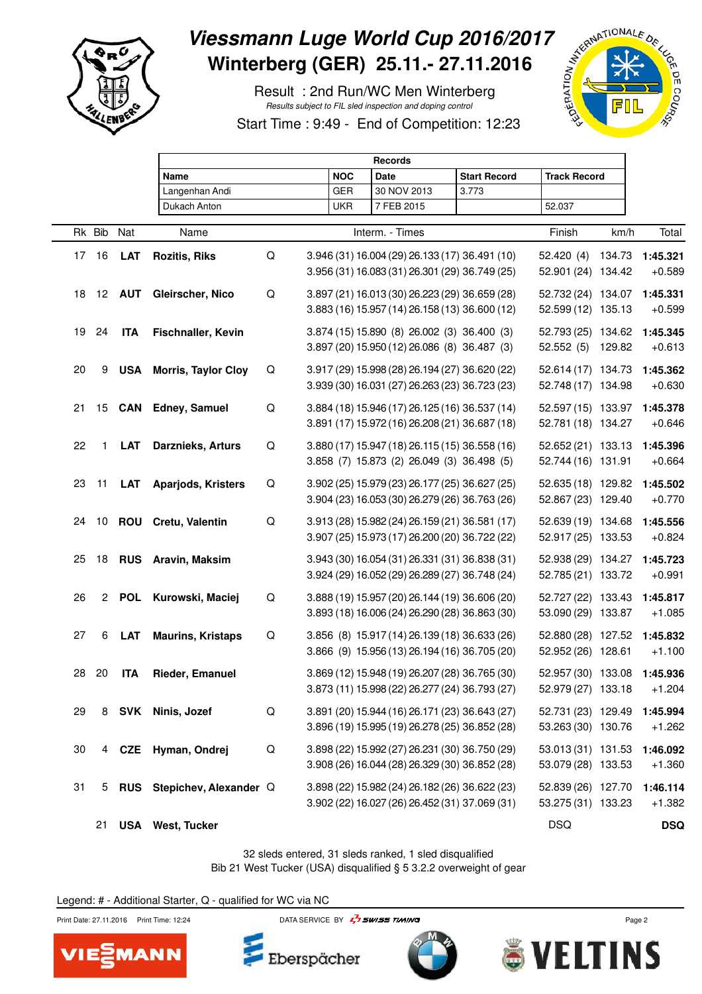

Г

# Viessmann Luge World Cup 2016/2017<br>Winterberg (GER) 25.11.- 27.11.2016<br>Result : 2nd Run/WC Men Winterberg<br>Start Time : 9:49 - End of Care and Joping control **Winterberg (GER) 25.11.- 27.11.2016**

 Result : 2nd Run/WC Men Winterberg Results subject to FIL sled inspection and doping control





|        |                 |               | <b>Records</b>             |             |            |                                                                                                  |                     |                                          |        |                      |  |  |  |
|--------|-----------------|---------------|----------------------------|-------------|------------|--------------------------------------------------------------------------------------------------|---------------------|------------------------------------------|--------|----------------------|--|--|--|
|        |                 |               | Name                       |             | <b>NOC</b> | Date                                                                                             | <b>Start Record</b> | <b>Track Record</b>                      |        |                      |  |  |  |
|        |                 |               | Langenhan Andi             |             | <b>GER</b> | 30 NOV 2013                                                                                      | 3.773               |                                          |        |                      |  |  |  |
|        |                 |               | Dukach Anton               |             | <b>UKR</b> | 7 FEB 2015                                                                                       |                     | 52.037                                   |        |                      |  |  |  |
|        | Rk Bib          | Nat           | Name                       |             |            | Interm. - Times                                                                                  |                     | Finish                                   | km/h   | Total                |  |  |  |
|        | 17 16           | <b>LAT</b>    | <b>Rozitis, Riks</b>       | Q           |            | 3.946 (31) 16.004 (29) 26.133 (17) 36.491 (10)<br>3.956 (31) 16.083 (31) 26.301 (29) 36.749 (25) |                     | 52.420(4)<br>52.901 (24) 134.42          | 134.73 | 1:45.321<br>$+0.589$ |  |  |  |
| 18     |                 | 12 <b>AUT</b> | Gleirscher, Nico           | $\mathsf Q$ |            | 3.897 (21) 16.013 (30) 26.223 (29) 36.659 (28)<br>3.883 (16) 15.957 (14) 26.158 (13) 36.600 (12) |                     | 52.732 (24) 134.07<br>52.599 (12) 135.13 |        | 1:45.331<br>$+0.599$ |  |  |  |
| 19     | 24              | <b>ITA</b>    | Fischnaller, Kevin         |             |            | 3.874 (15) 15.890 (8) 26.002 (3) 36.400 (3)<br>3.897 (20) 15.950 (12) 26.086 (8) 36.487 (3)      |                     | 52.793 (25) 134.62<br>52.552 (5) 129.82  |        | 1:45.345<br>$+0.613$ |  |  |  |
| 20     | 9               | <b>USA</b>    | <b>Morris, Taylor Cloy</b> | Q           |            | 3.917 (29) 15.998 (28) 26.194 (27) 36.620 (22)<br>3.939 (30) 16.031 (27) 26.263 (23) 36.723 (23) |                     | 52.614 (17) 134.73<br>52.748 (17) 134.98 |        | 1:45.362<br>$+0.630$ |  |  |  |
| 21     | 15 <sub>1</sub> |               | <b>CAN</b> Edney, Samuel   | $\mathsf Q$ |            | 3.884 (18) 15.946 (17) 26.125 (16) 36.537 (14)<br>3.891 (17) 15.972 (16) 26.208 (21) 36.687 (18) |                     | 52.597 (15) 133.97<br>52.781 (18) 134.27 |        | 1:45.378<br>$+0.646$ |  |  |  |
| 22     | 1               | <b>LAT</b>    | Darznieks, Arturs          | Q           |            | 3.880 (17) 15.947 (18) 26.115 (15) 36.558 (16)<br>3.858 (7) 15.873 (2) 26.049 (3) 36.498 (5)     |                     | 52.652 (21) 133.13<br>52.744 (16) 131.91 |        | 1:45.396<br>$+0.664$ |  |  |  |
| 23     | 11              | <b>LAT</b>    | Aparjods, Kristers         | Q           |            | 3.902 (25) 15.979 (23) 26.177 (25) 36.627 (25)<br>3.904 (23) 16.053 (30) 26.279 (26) 36.763 (26) |                     | 52.635 (18) 129.82<br>52.867 (23) 129.40 |        | 1:45.502<br>$+0.770$ |  |  |  |
| 24     | 10              | <b>ROU</b>    | Cretu, Valentin            | $\mathsf Q$ |            | 3.913 (28) 15.982 (24) 26.159 (21) 36.581 (17)<br>3.907 (25) 15.973 (17) 26.200 (20) 36.722 (22) |                     | 52.639 (19) 134.68<br>52.917 (25) 133.53 |        | 1:45.556<br>$+0.824$ |  |  |  |
| 25     | 18              | <b>RUS</b>    | Aravin, Maksim             |             |            | 3.943 (30) 16.054 (31) 26.331 (31) 36.838 (31)<br>3.924 (29) 16.052 (29) 26.289 (27) 36.748 (24) |                     | 52.938 (29) 134.27<br>52.785 (21) 133.72 |        | 1:45.723<br>$+0.991$ |  |  |  |
| 26     | $2^{\circ}$     | <b>POL</b>    | Kurowski, Maciej           | Q           |            | 3.888 (19) 15.957 (20) 26.144 (19) 36.606 (20)<br>3.893 (18) 16.006 (24) 26.290 (28) 36.863 (30) |                     | 52.727 (22) 133.43<br>53.090 (29) 133.87 |        | 1:45.817<br>$+1.085$ |  |  |  |
| 27     | 6               | <b>LAT</b>    | <b>Maurins, Kristaps</b>   | $\mathsf Q$ |            | 3.856 (8) 15.917 (14) 26.139 (18) 36.633 (26)<br>3.866 (9) 15.956 (13) 26.194 (16) 36.705 (20)   |                     | 52.880 (28) 127.52<br>52.952 (26) 128.61 |        | 1:45.832<br>$+1.100$ |  |  |  |
|        | 28 20           | <b>ITA</b>    | Rieder, Emanuel            |             |            | 3.869 (12) 15.948 (19) 26.207 (28) 36.765 (30)<br>3.873 (11) 15.998 (22) 26.277 (24) 36.793 (27) |                     | 52.957 (30) 133.08<br>52.979 (27) 133.18 |        | 1:45.936<br>$+1.204$ |  |  |  |
| 29     | 8               |               | SVK Ninis, Jozef           | $\mathsf Q$ |            | 3.891 (20) 15.944 (16) 26.171 (23) 36.643 (27)<br>3.896 (19) 15.995 (19) 26.278 (25) 36.852 (28) |                     | 52.731 (23) 129.49<br>53.263 (30) 130.76 |        | 1:45.994<br>$+1.262$ |  |  |  |
| $30\,$ |                 | 4 CZE         | Hyman, Ondrej              | Q           |            | 3.898 (22) 15.992 (27) 26.231 (30) 36.750 (29)<br>3.908 (26) 16.044 (28) 26.329 (30) 36.852 (28) |                     | 53.013 (31) 131.53<br>53.079 (28) 133.53 |        | 1:46.092<br>$+1.360$ |  |  |  |
| 31     | 5               | <b>RUS</b>    | Stepichev, Alexander Q     |             |            | 3.898 (22) 15.982 (24) 26.182 (26) 36.622 (23)<br>3.902 (22) 16.027 (26) 26.452 (31) 37.069 (31) |                     | 52.839 (26) 127.70<br>53.275 (31) 133.23 |        | 1:46.114<br>$+1.382$ |  |  |  |
|        | 21              |               | <b>USA</b> West, Tucker    |             |            |                                                                                                  |                     | <b>DSQ</b>                               |        | <b>DSQ</b>           |  |  |  |

32 sleds entered, 31 sleds ranked, 1 sled disqualified Bib 21 West Tucker (USA) disqualified § 5 3.2.2 overweight of gear

Legend: # - Additional Starter, Q - qualified for WC via NC



**MANN** 



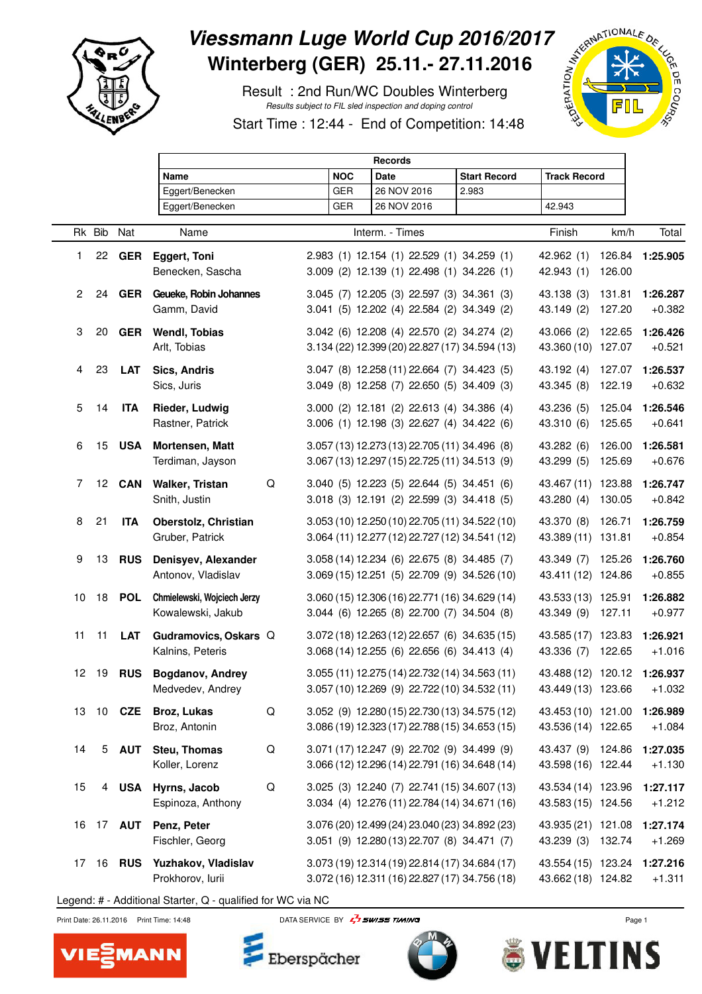

 $\Gamma$ 

## Viessmann Luge World Cup 2016/2017<br>
Winterberg (GER) 25.11.- 27.11.2016<br>
Result : 2nd Run/WC Doubles Winterberg<br>
Start Time : 12<sup>.44</sup> - End of October 2007 **Winterberg (GER) 25.11.- 27.11.2016**

 Result : 2nd Run/WC Doubles Winterberg Results subject to FIL sled inspection and doping control

Start Time : 12:44 - End of Competition: 14:48

|    |        |                  | <b>Records</b>                                   |             |            |                                                                                                  |  |                     |                                                   |                  |                      |
|----|--------|------------------|--------------------------------------------------|-------------|------------|--------------------------------------------------------------------------------------------------|--|---------------------|---------------------------------------------------|------------------|----------------------|
|    |        |                  | Name                                             |             | <b>NOC</b> | Date                                                                                             |  | <b>Start Record</b> | <b>Track Record</b>                               |                  |                      |
|    |        |                  | Eggert/Benecken                                  |             | <b>GER</b> | 26 NOV 2016                                                                                      |  | 2.983               |                                                   |                  |                      |
|    |        |                  | Eggert/Benecken                                  |             | <b>GER</b> | 26 NOV 2016                                                                                      |  |                     | 42.943                                            |                  |                      |
|    | Rk Bib | Nat              | Name                                             |             |            | Interm. - Times                                                                                  |  |                     | Finish                                            | km/h             | Total                |
| 1. |        | 22 GER           | <b>Eggert, Toni</b><br>Benecken, Sascha          |             |            | 2.983 (1) 12.154 (1) 22.529 (1) 34.259 (1)<br>3.009 (2) 12.139 (1) 22.498 (1) 34.226 (1)         |  |                     | 42.962(1)<br>42.943 (1)                           | 126.84<br>126.00 | 1:25.905             |
| 2  | 24     | <b>GER</b>       | Geueke, Robin Johannes<br>Gamm, David            |             |            | 3.045 (7) 12.205 (3) 22.597 (3) 34.361 (3)<br>3.041 (5) 12.202 (4) 22.584 (2) 34.349 (2)         |  |                     | 43.138 (3)<br>43.149 (2)                          | 131.81<br>127.20 | 1:26.287<br>$+0.382$ |
| 3  | 20     | GER              | <b>Wendl, Tobias</b><br>Arlt, Tobias             |             |            | 3.042 (6) 12.208 (4) 22.570 (2) 34.274 (2)<br>3.134 (22) 12.399 (20) 22.827 (17) 34.594 (13)     |  |                     | 43.066 (2)<br>43.360 (10) 127.07                  | 122.65           | 1:26.426<br>$+0.521$ |
| 4  | 23     | LAT              | Sics, Andris<br>Sics, Juris                      |             |            | 3.047 (8) 12.258 (11) 22.664 (7) 34.423 (5)<br>3.049 (8) 12.258 (7) 22.650 (5) 34.409 (3)        |  |                     | 43.192 (4)<br>43.345 (8)                          | 127.07<br>122.19 | 1:26.537<br>$+0.632$ |
| 5  | 14     | <b>ITA</b>       | Rieder, Ludwig<br>Rastner, Patrick               |             |            | 3.000 (2) 12.181 (2) 22.613 (4) 34.386 (4)<br>3.006 (1) 12.198 (3) 22.627 (4) 34.422 (6)         |  |                     | 43.236 (5)<br>43.310 (6)                          | 125.04<br>125.65 | 1:26.546<br>$+0.641$ |
| 6  | 15     | USA              | Mortensen, Matt<br>Terdiman, Jayson              |             |            | 3.057 (13) 12.273 (13) 22.705 (11) 34.496 (8)<br>3.067 (13) 12.297 (15) 22.725 (11) 34.513 (9)   |  |                     | 43.282 (6)<br>43.299 (5)                          | 126.00<br>125.69 | 1:26.581<br>$+0.676$ |
| 7  |        | <b>12 CAN</b>    | <b>Walker, Tristan</b><br>Snith, Justin          | Q           |            | 3.040 (5) 12.223 (5) 22.644 (5) 34.451 (6)<br>3.018 (3) 12.191 (2) 22.599 (3) 34.418 (5)         |  |                     | 43.467 (11) 123.88<br>43.280 (4)                  | 130.05           | 1:26.747<br>$+0.842$ |
| 8  | 21     | <b>ITA</b>       | Oberstolz, Christian<br>Gruber, Patrick          |             |            | 3.053 (10) 12.250 (10) 22.705 (11) 34.522 (10)<br>3.064 (11) 12.277 (12) 22.727 (12) 34.541 (12) |  |                     | 43.370 (8) 126.71<br>43.389 (11) 131.81           |                  | 1:26.759<br>$+0.854$ |
| 9  | 13     | <b>RUS</b>       | Denisyev, Alexander<br>Antonov, Vladislav        |             |            | 3.058 (14) 12.234 (6) 22.675 (8) 34.485 (7)<br>3.069 (15) 12.251 (5) 22.709 (9) 34.526 (10)      |  |                     | 43.349 (7) 125.26<br>43.411 (12) 124.86           |                  | 1:26.760<br>$+0.855$ |
| 10 | 18     | <b>POL</b>       | Chmielewski, Wojciech Jerzy<br>Kowalewski, Jakub |             |            | 3.060 (15) 12.306 (16) 22.771 (16) 34.629 (14)<br>3.044 (6) 12.265 (8) 22.700 (7) 34.504 (8)     |  |                     | 43.533 (13) 125.91<br>43.349 (9)                  | 127.11           | 1:26.882<br>$+0.977$ |
| 11 | 11     | LAT              | Gudramovics, Oskars Q<br>Kalnins, Peteris        |             |            | 3.072 (18) 12.263 (12) 22.657 (6) 34.635 (15)<br>3.068 (14) 12.255 (6) 22.656 (6) 34.413 (4)     |  |                     | 43.585 (17) 123.83<br>43.336 (7)                  | 122.65           | 1:26.921<br>$+1.016$ |
|    | 12 19  | <b>RUS</b>       | <b>Bogdanov, Andrey</b><br>Medvedev, Andrey      |             |            | 3.055 (11) 12.275 (14) 22.732 (14) 34.563 (11)<br>3.057 (10) 12.269 (9) 22.722 (10) 34.532 (11)  |  |                     | 43.488 (12) 120.12 1:26.937<br>43.449 (13) 123.66 |                  | $+1.032$             |
|    |        | 13 10 <b>CZE</b> | <b>Broz, Lukas</b><br>Broz, Antonin              | $\mathsf Q$ |            | 3.052 (9) 12.280 (15) 22.730 (13) 34.575 (12)<br>3.086 (19) 12.323 (17) 22.788 (15) 34.653 (15)  |  |                     | 43.453 (10) 121.00<br>43.536 (14) 122.65          |                  | 1:26.989<br>$+1.084$ |
| 14 |        | 5 AUT            | Steu, Thomas<br>Koller, Lorenz                   | Q           |            | 3.071 (17) 12.247 (9) 22.702 (9) 34.499 (9)<br>3.066 (12) 12.296 (14) 22.791 (16) 34.648 (14)    |  |                     | 43.437 (9) 124.86<br>43.598 (16) 122.44           |                  | 1:27.035<br>$+1.130$ |
| 15 |        |                  | 4 USA Hyrns, Jacob<br>Espinoza, Anthony          | Q           |            | 3.025 (3) 12.240 (7) 22.741 (15) 34.607 (13)<br>3.034 (4) 12.276 (11) 22.784 (14) 34.671 (16)    |  |                     | 43.534 (14) 123.96<br>43.583 (15) 124.56          |                  | 1:27.117<br>$+1.212$ |
|    |        |                  | 16 17 AUT Penz, Peter<br>Fischler, Georg         |             |            | 3.076 (20) 12.499 (24) 23.040 (23) 34.892 (23)<br>3.051 (9) 12.280 (13) 22.707 (8) 34.471 (7)    |  |                     | 43.935 (21) 121.08<br>43.239 (3) 132.74           |                  | 1:27.174<br>$+1.269$ |
| 17 |        | 16 <b>RUS</b>    | Yuzhakov, Vladislav<br>Prokhorov, lurii          |             |            | 3.073 (19) 12.314 (19) 22.814 (17) 34.684 (17)<br>3.072 (16) 12.311 (16) 22.827 (17) 34.756 (18) |  |                     | 43.554 (15) 123.24<br>43.662 (18) 124.82          |                  | 1:27.216<br>$+1.311$ |

Legend: # - Additional Starter, Q - qualified for WC via NC



Print Date: 26.11.2016 Print Time: 14:48 DATA SERVICE BY  $\frac{1}{4}$  SWISS TIMING



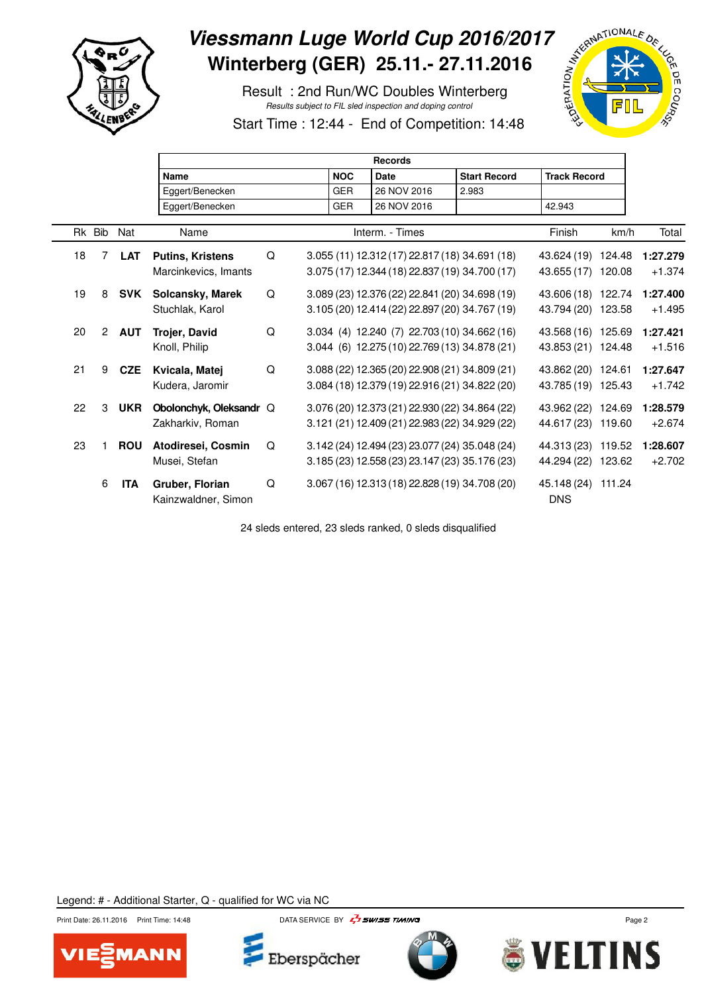

 $\Gamma$ 

## Viessmann Luge World Cup 2016/2017<br>
Winterberg (GER) 25.11.- 27.11.2016<br>
Result : 2nd Run/WC Doubles Winterberg<br>
Start Time : 12<sup>.44</sup> - End of C **Winterberg (GER) 25.11.- 27.11.2016**

 Result : 2nd Run/WC Doubles Winterberg Results subject to FIL sled inspection and doping control



Start Time : 12:44 - End of Competition: 14:48

|    |        |                |            | <b>Records</b>                                  |   |  |            |      |                 |  |                                                                                                  |                     |  |                                          |                      |
|----|--------|----------------|------------|-------------------------------------------------|---|--|------------|------|-----------------|--|--------------------------------------------------------------------------------------------------|---------------------|--|------------------------------------------|----------------------|
|    |        |                |            | <b>Name</b>                                     |   |  | <b>NOC</b> | Date |                 |  | <b>Start Record</b>                                                                              | <b>Track Record</b> |  |                                          |                      |
|    |        |                |            | Eggert/Benecken                                 |   |  | <b>GER</b> |      | 26 NOV 2016     |  | 2.983                                                                                            |                     |  |                                          |                      |
|    |        |                |            | Eggert/Benecken                                 |   |  | <b>GER</b> |      | 26 NOV 2016     |  |                                                                                                  | 42.943              |  |                                          |                      |
|    | Rk Bib |                | Nat        | Name                                            |   |  |            |      | Interm. - Times |  |                                                                                                  | Finish              |  | km/h                                     | Total                |
|    | 18     | 7              | <b>LAT</b> | <b>Putins, Kristens</b><br>Marcinkevics, Imants | Q |  |            |      |                 |  | 3.055 (11) 12.312 (17) 22.817 (18) 34.691 (18)<br>3.075 (17) 12.344 (18) 22.837 (19) 34.700 (17) |                     |  | 43.624 (19) 124.48<br>43.655 (17) 120.08 | 1:27.279<br>$+1.374$ |
|    | 19     | 8              | <b>SVK</b> | Solcansky, Marek<br>Stuchlak, Karol             | Q |  |            |      |                 |  | 3.089 (23) 12.376 (22) 22.841 (20) 34.698 (19)<br>3.105 (20) 12.414 (22) 22.897 (20) 34.767 (19) |                     |  | 43.606 (18) 122.74<br>43.794 (20) 123.58 | 1:27.400<br>$+1.495$ |
|    | 20     | $\overline{2}$ | <b>AUT</b> | Trojer, David<br>Knoll, Philip                  | Q |  |            |      |                 |  | 3.034 (4) 12.240 (7) 22.703 (10) 34.662 (16)<br>3.044 (6) 12.275 (10) 22.769 (13) 34.878 (21)    |                     |  | 43.568 (16) 125.69<br>43.853 (21) 124.48 | 1:27.421<br>$+1.516$ |
| 21 |        | 9              | <b>CZE</b> | Kvicala, Matej<br>Kudera, Jaromir               | Q |  |            |      |                 |  | 3.088 (22) 12.365 (20) 22.908 (21) 34.809 (21)<br>3.084 (18) 12.379 (19) 22.916 (21) 34.822 (20) |                     |  | 43.862 (20) 124.61<br>43.785 (19) 125.43 | 1:27.647<br>$+1.742$ |
|    | 22     | 3              | <b>UKR</b> | Obolonchyk, Oleksandr Q<br>Zakharkiv, Roman     |   |  |            |      |                 |  | 3.076 (20) 12.373 (21) 22.930 (22) 34.864 (22)<br>3.121 (21) 12.409 (21) 22.983 (22) 34.929 (22) |                     |  | 43.962 (22) 124.69<br>44.617 (23) 119.60 | 1:28.579<br>$+2.674$ |
|    | 23     |                | <b>ROU</b> | Atodiresei, Cosmin<br>Musei, Stefan             | Q |  |            |      |                 |  | 3.142 (24) 12.494 (23) 23.077 (24) 35.048 (24)<br>3.185 (23) 12.558 (23) 23.147 (23) 35.176 (23) |                     |  | 44.313 (23) 119.52<br>44.294 (22) 123.62 | 1:28.607<br>$+2.702$ |
|    |        | 6              | <b>ITA</b> | Gruber, Florian<br>Kainzwaldner, Simon          | Q |  |            |      |                 |  | 3.067 (16) 12.313 (18) 22.828 (19) 34.708 (20)                                                   | <b>DNS</b>          |  | 45.148 (24) 111.24                       |                      |

24 sleds entered, 23 sleds ranked, 0 sleds disqualified







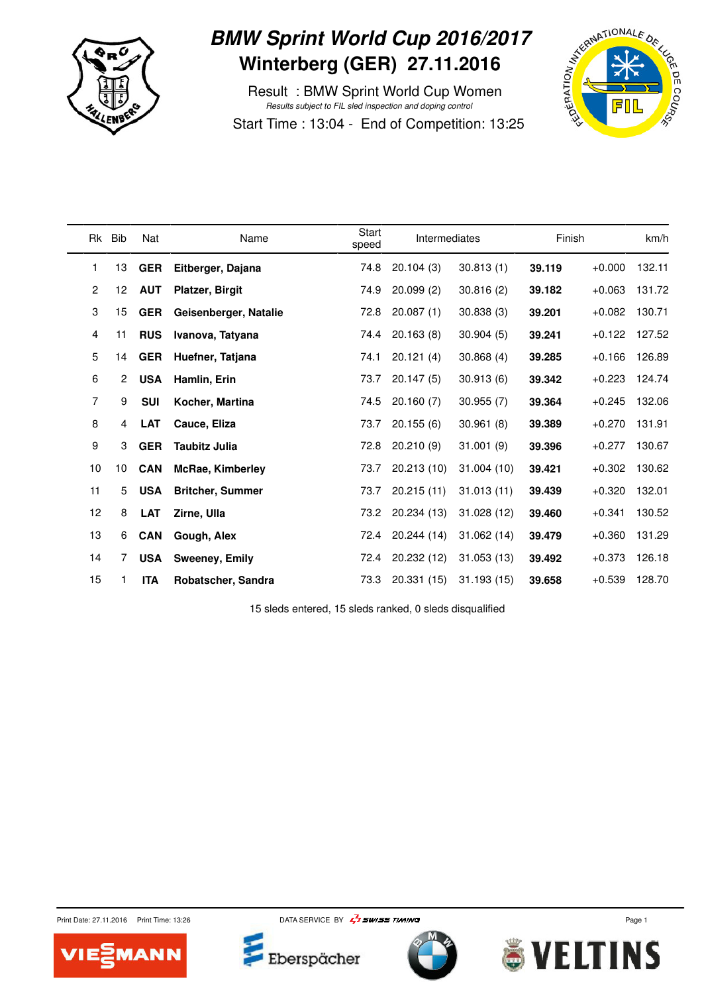

#### **BMW Sprint World Cup 2016/2017 Winterberg (GER) 27.11.2016**

 Result : BMW Sprint World Cup Women Results subject to FIL sled inspection and doping control Start Time : 13:04 - End of Competition: 13:25



| Rk             | Bib            | Nat        | Name                    | Start<br>speed | Intermediates |             | Finish |          | km/h   |
|----------------|----------------|------------|-------------------------|----------------|---------------|-------------|--------|----------|--------|
| 1              | 13             | <b>GER</b> | Eitberger, Dajana       | 74.8           | 20.104(3)     | 30.813(1)   | 39.119 | $+0.000$ | 132.11 |
| $\overline{2}$ | 12             | <b>AUT</b> | <b>Platzer, Birgit</b>  | 74.9           | 20.099(2)     | 30.816(2)   | 39.182 | $+0.063$ | 131.72 |
| 3              | 15             | <b>GER</b> | Geisenberger, Natalie   | 72.8           | 20.087(1)     | 30.838(3)   | 39.201 | $+0.082$ | 130.71 |
| 4              | 11             | <b>RUS</b> | Ivanova, Tatyana        | 74.4           | 20.163(8)     | 30.904(5)   | 39.241 | $+0.122$ | 127.52 |
| 5              | 14             | <b>GER</b> | Huefner, Tatjana        | 74.1           | 20.121(4)     | 30.868(4)   | 39.285 | $+0.166$ | 126.89 |
| 6              | $\overline{2}$ | <b>USA</b> | Hamlin, Erin            | 73.7           | 20.147(5)     | 30.913(6)   | 39.342 | $+0.223$ | 124.74 |
| 7              | 9              | <b>SUI</b> | Kocher, Martina         | 74.5           | 20.160(7)     | 30.955(7)   | 39.364 | $+0.245$ | 132.06 |
| 8              | 4              | <b>LAT</b> | Cauce, Eliza            | 73.7           | 20.155(6)     | 30.961(8)   | 39.389 | $+0.270$ | 131.91 |
| 9              | 3              | <b>GER</b> | <b>Taubitz Julia</b>    | 72.8           | 20.210(9)     | 31.001(9)   | 39.396 | $+0.277$ | 130.67 |
| 10             | 10             | <b>CAN</b> | McRae, Kimberley        | 73.7           | 20.213 (10)   | 31.004(10)  | 39.421 | $+0.302$ | 130.62 |
| 11             | 5              | <b>USA</b> | <b>Britcher, Summer</b> | 73.7           | 20.215(11)    | 31.013(11)  | 39.439 | $+0.320$ | 132.01 |
| 12             | 8              | <b>LAT</b> | Zirne, Ulla             | 73.2           | 20.234 (13)   | 31.028 (12) | 39.460 | $+0.341$ | 130.52 |
| 13             | 6              | <b>CAN</b> | Gough, Alex             | 72.4           | 20.244 (14)   | 31.062(14)  | 39.479 | $+0.360$ | 131.29 |
| 14             | 7              | <b>USA</b> | <b>Sweeney, Emily</b>   | 72.4           | 20.232 (12)   | 31.053(13)  | 39.492 | $+0.373$ | 126.18 |
| 15             |                | <b>ITA</b> | Robatscher, Sandra      | 73.3           | 20.331(15)    | 31.193(15)  | 39.658 | $+0.539$ | 128.70 |

15 sleds entered, 15 sleds ranked, 0 sleds disqualified



Print Date: 27.11.2016 Print Time: 13:26 DATA SERVICE BY  $\frac{1}{4}$  SWISS TIMING



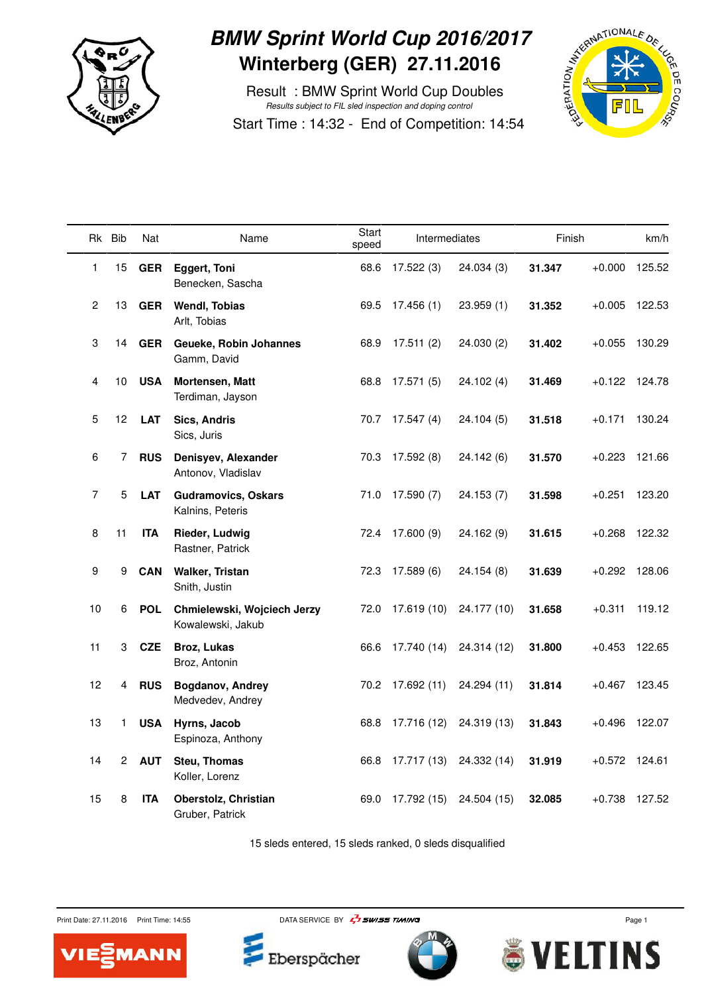

#### **BMW Sprint World Cup 2016/2017 Winterberg (GER) 27.11.2016**

 Result : BMW Sprint World Cup Doubles Results subject to FIL sled inspection and doping control Start Time : 14:32 - End of Competition: 14:54



|              | Rk Bib         | Nat        | Name                                             | Start<br>speed | Intermediates    |             | Finish |                 | km/h          |
|--------------|----------------|------------|--------------------------------------------------|----------------|------------------|-------------|--------|-----------------|---------------|
| 1            | 15             | <b>GER</b> | <b>Eggert, Toni</b><br>Benecken, Sascha          | 68.6           | 17.522(3)        | 24.034 (3)  | 31.347 | $+0.000$        | 125.52        |
| $\mathbf{2}$ | 13             | <b>GER</b> | <b>Wendl, Tobias</b><br>Arlt, Tobias             | 69.5           | 17.456(1)        | 23.959(1)   | 31.352 | $+0.005$        | 122.53        |
| 3            | 14             | <b>GER</b> | Geueke, Robin Johannes<br>Gamm, David            | 68.9           | 17.511(2)        | 24.030(2)   | 31.402 | $+0.055$        | 130.29        |
| 4            | 10             | <b>USA</b> | Mortensen, Matt<br>Terdiman, Jayson              | 68.8           | 17.571 (5)       | 24.102 (4)  | 31.469 |                 | +0.122 124.78 |
| 5            | 12             | <b>LAT</b> | <b>Sics, Andris</b><br>Sics, Juris               | 70.7           | 17.547(4)        | 24.104(5)   | 31.518 | $+0.171$        | 130.24        |
| 6            | 7              | <b>RUS</b> | Denisyev, Alexander<br>Antonov, Vladislav        |                | 70.3 17.592 (8)  | 24.142(6)   | 31.570 | +0.223          | 121.66        |
| 7            | 5              | <b>LAT</b> | <b>Gudramovics, Oskars</b><br>Kalnins, Peteris   |                | 71.0 17.590 (7)  | 24.153 (7)  | 31.598 | $+0.251$        | 123.20        |
| 8            | 11             | <b>ITA</b> | Rieder, Ludwig<br>Rastner, Patrick               | 72.4           | 17.600(9)        | 24.162 (9)  | 31.615 | $+0.268$        | 122.32        |
| 9            | 9              | <b>CAN</b> | <b>Walker, Tristan</b><br>Snith, Justin          | 72.3           | 17.589(6)        | 24.154(8)   | 31.639 | $+0.292$        | 128.06        |
| 10           | 6              | <b>POL</b> | Chmielewski, Wojciech Jerzy<br>Kowalewski, Jakub | 72.0           | 17.619 (10)      | 24.177 (10) | 31.658 | $+0.311$        | 119.12        |
| 11           | 3              | <b>CZE</b> | Broz, Lukas<br>Broz, Antonin                     | 66.6           | 17.740 (14)      | 24.314 (12) | 31.800 | $+0.453$        | 122.65        |
| 12           | 4              | <b>RUS</b> | Bogdanov, Andrey<br>Medvedev, Andrey             |                | 70.2 17.692 (11) | 24.294 (11) | 31.814 | +0.467          | 123.45        |
| 13           | 1              | <b>USA</b> | Hyrns, Jacob<br>Espinoza, Anthony                | 68.8           | 17.716 (12)      | 24.319 (13) | 31.843 | +0.496          | 122.07        |
| 14           | $\overline{2}$ | <b>AUT</b> | <b>Steu, Thomas</b><br>Koller, Lorenz            | 66.8           | 17.717 (13)      | 24.332 (14) | 31.919 | $+0.572$ 124.61 |               |
| 15           | 8              | <b>ITA</b> | Oberstolz, Christian<br>Gruber, Patrick          | 69.0           | 17.792 (15)      | 24.504 (15) | 32.085 | $+0.738$        | 127.52        |

15 sleds entered, 15 sleds ranked, 0 sleds disqualified

Print Date: 27.11.2016 Print Time: 14:55 DATA SERVICE BY  $\frac{7}{4}$  SWISS TIMING